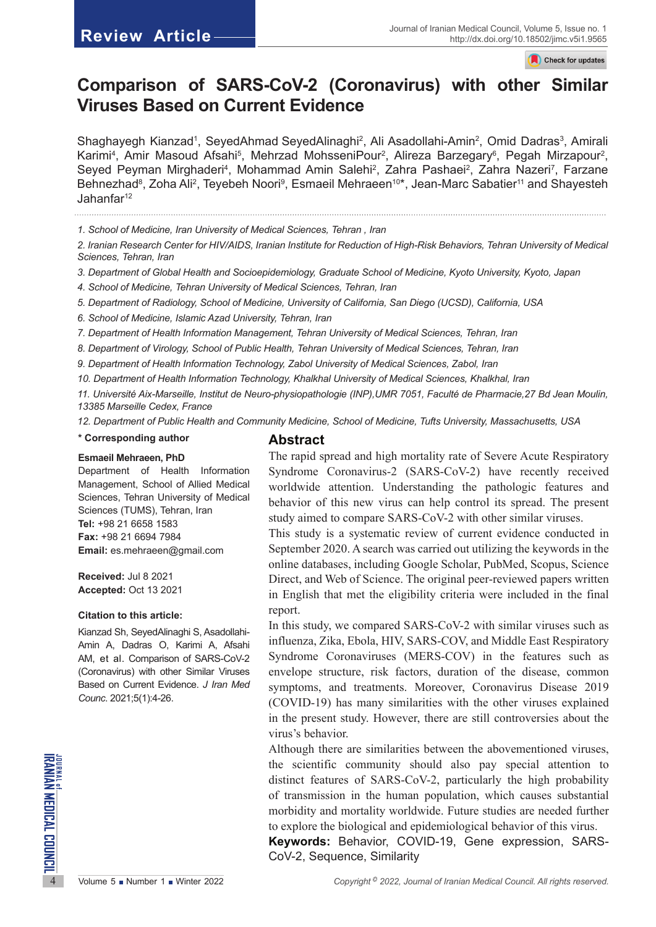Check for updates

# **Comparison of SARS-CoV-2 (Coronavirus) with other Similar Viruses Based on Current Evidence**

Shaghayegh Kianzad<sup>1</sup>, SeyedAhmad [SeyedAlinaghi](https://www.ncbi.nlm.nih.gov/pubmed/?term=SeyedAlinaghi S%5BAuthor%5D&cauthor=true&cauthor_uid=23017163)<sup>2</sup>, Ali Asadollahi-Amin<sup>2</sup>, Omid Dadras<sup>3</sup>, Amirali Karimi<sup>4</sup>, Amir Masoud Afsahi<sup>5</sup>, Mehrzad MohsseniPour<sup>2</sup>, Alireza Barzegary<sup>6</sup>, Pegah Mirzapour<sup>2</sup>, Seyed Peyman Mirghaderi<sup>4</sup>, Mohammad Amin Salehi<sup>2</sup>, Zahra Pashaei<sup>2</sup>, Zahra Nazeri<sup>7</sup>, Farzane Behnezhad<sup>8</sup>, Zoha Ali<sup>2</sup>, Teyebeh Noori<sup>9</sup>, Esmaeil Mehraeen<sup>10\*</sup>, Jean-Marc Sabatier<sup>11</sup> and Shayesteh Jahanfar12

*1. School of Medicine, Iran University of Medical Sciences, Tehran , Iran* 

*2. Iranian Research Center for HIV/AIDS, Iranian Institute for Reduction of High-Risk Behaviors, Tehran University of Medical Sciences, Tehran, Iran* 

*3. Department of Global Health and Socioepidemiology, Graduate School of Medicine, Kyoto University, Kyoto, Japan* 

*4. School of Medicine, Tehran University of Medical Sciences, Tehran, Iran*

*5. Department of Radiology, School of Medicine, University of California, San Diego (UCSD), California, USA*

*6. School of Medicine, Islamic Azad University, Tehran, Iran* 

*7. Department of Health Information Management, Tehran University of Medical Sciences, Tehran, Iran*

*8. Department of Virology, School of Public Health, Tehran University of Medical Sciences, Tehran, Iran*

*9. Department of Health Information Technology, Zabol University of Medical Sciences, Zabol, Iran* 

*10. Department of Health Information Technology, Khalkhal University of Medical Sciences, Khalkhal, Iran* 

*11. Université Aix-Marseille, Institut de Neuro-physiopathologie (INP),UMR 7051, Faculté de Pharmacie,27 Bd Jean Moulin, 13385 Marseille Cedex, France*

*12. Department of Public Health and Community Medicine, School of Medicine, Tufts University, Massachusetts, USA*

#### **\* Corresponding author**

#### **Esmaeil Mehraeen, PhD**

Department of Health Information Management, School of Allied Medical Sciences, Tehran University of Medical Sciences (TUMS), Tehran, Iran **Tel:** +98 21 6658 1583 **Fax:** +98 21 6694 7984 **Email:** [es.mehraeen@gmail.](mailto:es.mehraeen@gmail.com)com

**Received:** Jul 8 2021 **Accepted:** Oct 13 2021

#### **Citation to this article:**

Kianzad Sh, [SeyedAlinaghi](https://www.ncbi.nlm.nih.gov/pubmed/?term=SeyedAlinaghi S%5BAuthor%5D&cauthor=true&cauthor_uid=23017163) S, Asadollahi-Amin A, Dadras O, Karimi A, Afsahi AM, et al. Comparison of SARS-CoV-2 (Coronavirus) with other Similar Viruses Based on Current Evidence. *J Iran Med Counc*. 2021;5(1):4-26.

# **Abstract**

The rapid spread and high mortality rate of Severe Acute Respiratory Syndrome Coronavirus-2 (SARS-CoV-2) have recently received worldwide attention. Understanding the pathologic features and behavior of this new virus can help control its spread. The present study aimed to compare SARS-CoV-2 with other similar viruses.

This study is a systematic review of current evidence conducted in September 2020. A search was carried out utilizing the keywords in the online databases, including Google Scholar, PubMed, Scopus, Science Direct, and Web of Science. The original peer-reviewed papers written in English that met the eligibility criteria were included in the final report.

In this study, we compared SARS-CoV-2 with similar viruses such as influenza, Zika, Ebola, HIV, SARS-COV, and Middle East Respiratory Syndrome Coronaviruses (MERS-COV) in the features such as envelope structure, risk factors, duration of the disease, common symptoms, and treatments. Moreover, Coronavirus Disease 2019 (COVID-19) has many similarities with the other viruses explained in the present study. However, there are still controversies about the virus's behavior.

How the scientific community should also pay special attention to<br>distinct features of SARS-CoV-2, particularly the high probability<br>of transmission in the human population, which causes substantial<br>morbidity and mortalit Although there are similarities between the abovementioned viruses, the scientific community should also pay special attention to distinct features of SARS-CoV-2, particularly the high probability of transmission in the human population, which causes substantial morbidity and mortality worldwide. Future studies are needed further to explore the biological and epidemiological behavior of this virus.

**Keywords:** Behavior, COVID-19, Gene expression, SARS-CoV-2, Sequence, Similarity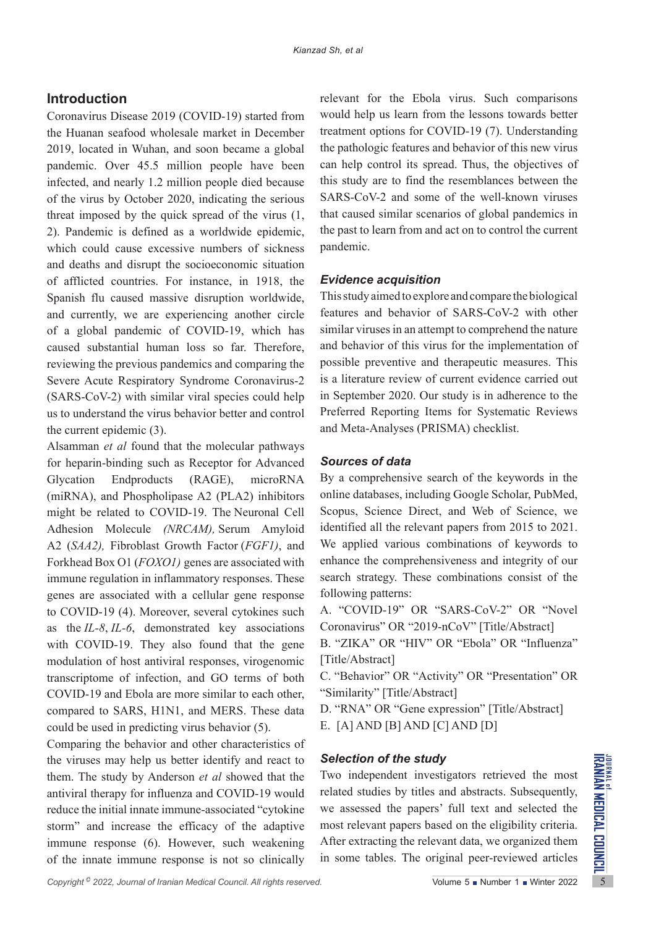# **Introduction**

Coronavirus Disease 2019 (COVID-19) started from the Huanan seafood wholesale market in December 2019, located in Wuhan, and soon became a global pandemic. Over 45.5 million people have been infected, and nearly 1.2 million people died because of the virus by October 2020, indicating the serious threat imposed by the quick spread of the virus (1, 2). Pandemic is defined as a worldwide epidemic, which could cause excessive numbers of sickness and deaths and disrupt the socioeconomic situation of afflicted countries. For instance, in 1918, the Spanish flu caused massive disruption worldwide, and currently, we are experiencing another circle of a global pandemic of COVID-19, which has caused substantial human loss so far. Therefore, reviewing the previous pandemics and comparing the Severe Acute Respiratory Syndrome Coronavirus-2 (SARS-CoV-2) with similar viral species could help us to understand the virus behavior better and control the current epidemic (3).

Alsamman *et al* found that the molecular pathways for heparin-binding such as Receptor for Advanced Glycation Endproducts (RAGE), microRNA (miRNA), and Phospholipase A2 (PLA2) inhibitors might be related to COVID-19. The Neuronal Cell Adhesion Molecule *(NRCAM),* Serum Amyloid A2 (*SAA2),* Fibroblast Growth Factor (*FGF1)*, and Forkhead Box O1 (*FOXO1)* genes are associated with immune regulation in inflammatory responses. These genes are associated with a cellular gene response to COVID-19 (4). Moreover, several cytokines such as the *IL-8*, *IL-6*, demonstrated key associations with COVID-19. They also found that the gene modulation of host antiviral responses, virogenomic transcriptome of infection, and GO terms of both COVID-19 and Ebola are more similar to each other, compared to SARS, H1N1, and MERS. These data could be used in predicting virus behavior (5).

the viruses may help us better identify and react to **Selection of the study**<br>them. The study by Anderson *et al* showed that the Two independent investigators retrieved the most<br>antiviral therapy for influenza and COVID-Comparing the behavior and other characteristics of the viruses may help us better identify and react to them. The study by Anderson *et al* showed that the antiviral therapy for influenza and COVID-19 would reduce the initial innate immune-associated "cytokine storm" and increase the efficacy of the adaptive immune response (6). However, such weakening of the innate immune response is not so clinically

relevant for the Ebola virus. Such comparisons would help us learn from the lessons towards better treatment options for COVID-19 (7). Understanding the pathologic features and behavior of this new virus can help control its spread. Thus, the objectives of this study are to find the resemblances between the SARS-CoV-2 and some of the well-known viruses that caused similar scenarios of global pandemics in the past to learn from and act on to control the current pandemic.

#### *Evidence acquisition*

This study aimed to explore and compare the biological features and behavior of SARS-CoV-2 with other similar viruses in an attempt to comprehend the nature and behavior of this virus for the implementation of possible preventive and therapeutic measures. This is a literature review of current evidence carried out in September 2020. Our study is in adherence to the Preferred Reporting Items for Systematic Reviews and Meta-Analyses (PRISMA) checklist.

#### *Sources of data*

By a comprehensive search of the keywords in the online databases, including Google Scholar, PubMed, Scopus, Science Direct, and Web of Science, we identified all the relevant papers from 2015 to 2021. We applied various combinations of keywords to enhance the comprehensiveness and integrity of our search strategy. These combinations consist of the following patterns:

A. "COVID-19" OR "SARS-CoV-2" OR "Novel Coronavirus" OR "2019-nCoV" [Title/Abstract]

B. "ZIKA" OR "HIV" OR "Ebola" OR "Influenza" [Title/Abstract]

C. "Behavior" OR "Activity" OR "Presentation" OR "Similarity" [Title/Abstract]

D. "RNA" OR "Gene expression" [Title/Abstract] E. [A] AND [B] AND [C] AND [D]

#### *Selection of the study*

Two independent investigators retrieved the most related studies by titles and abstracts. Subsequently, we assessed the papers' full text and selected the most relevant papers based on the eligibility criteria. After extracting the relevant data, we organized them in some tables. The original peer-reviewed articles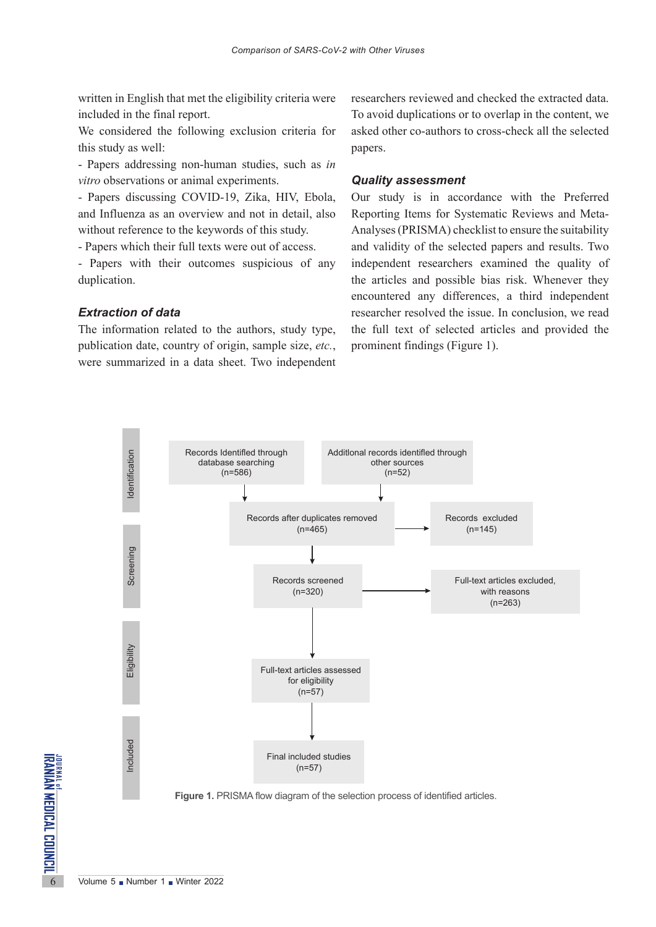written in English that met the eligibility criteria were included in the final report.

We considered the following exclusion criteria for this study as well:

- Papers addressing non-human studies, such as *in vitro* observations or animal experiments.

- Papers discussing COVID-19, Zika, HIV, Ebola, and Influenza as an overview and not in detail, also without reference to the keywords of this study.

- Papers which their full texts were out of access.

- Papers with their outcomes suspicious of any duplication.

#### *Extraction of data*

The information related to the authors, study type, publication date, country of origin, sample size, *etc.*, were summarized in a data sheet. Two independent researchers reviewed and checked the extracted data. To avoid duplications or to overlap in the content, we asked other co-authors to cross-check all the selected papers.

#### *Quality assessment*

Our study is in accordance with the Preferred Reporting Items for Systematic Reviews and Meta-Analyses (PRISMA) checklist to ensure the suitability and validity of the selected papers and results. Two independent researchers examined the quality of the articles and possible bias risk. Whenever they encountered any differences, a third independent researcher resolved the issue. In conclusion, we read the full text of selected articles and provided the prominent findings (Figure 1).



**Figure 1.** PRISMA flow diagram of the selection process of identified articles.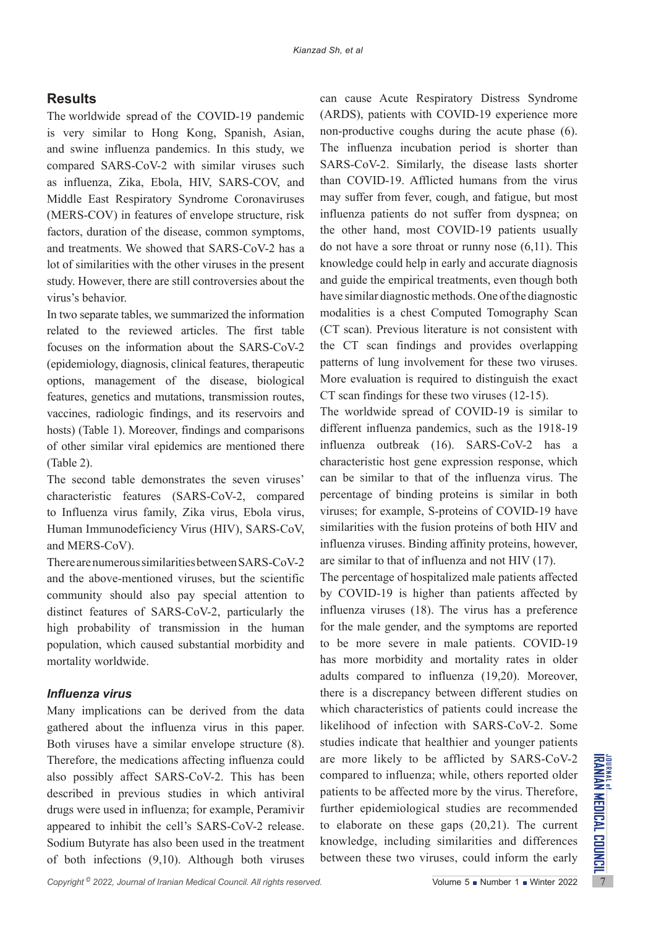# **Results**

The worldwide spread of the COVID-19 pandemic is very similar to Hong Kong, Spanish, Asian, and swine influenza pandemics. In this study, we compared SARS-CoV-2 with similar viruses such as influenza, Zika, Ebola, HIV, SARS-COV, and Middle East Respiratory Syndrome Coronaviruses (MERS-COV) in features of envelope structure, risk factors, duration of the disease, common symptoms, and treatments. We showed that SARS-CoV-2 has a lot of similarities with the other viruses in the present study. However, there are still controversies about the virus's behavior.

In two separate tables, we summarized the information related to the reviewed articles. The first table focuses on the information about the SARS-CoV-2 (epidemiology, diagnosis, clinical features, therapeutic options, management of the disease, biological features, genetics and mutations, transmission routes, vaccines, radiologic findings, and its reservoirs and hosts) (Table 1). Moreover, findings and comparisons of other similar viral epidemics are mentioned there (Table 2).

The second table demonstrates the seven viruses' characteristic features (SARS-CoV-2, compared to Influenza virus family, Zika virus, Ebola virus, Human Immunodeficiency Virus (HIV), SARS-CoV, and MERS-CoV).

There are numerous similarities between SARS-CoV-2 and the above-mentioned viruses, but the scientific community should also pay special attention to distinct features of SARS-CoV-2, particularly the high probability of transmission in the human population, which caused substantial morbidity and mortality worldwide.

# *Influenza virus*

Therefore, the medications affecting influenza could are more likely to be afflicted by SARS-CoV-2 also possibly affect SARS-CoV-2. This has been compared to influenza; while, others reported older described in previous s Many implications can be derived from the data gathered about the influenza virus in this paper. Both viruses have a similar envelope structure (8). Therefore, the medications affecting influenza could also possibly affect SARS-CoV-2. This has been described in previous studies in which antiviral drugs were used in influenza; for example, Peramivir appeared to inhibit the cell's SARS-CoV-2 release. Sodium Butyrate has also been used in the treatment of both infections (9,10). Although both viruses

can cause Acute Respiratory Distress Syndrome (ARDS), patients with COVID-19 experience more non-productive coughs during the acute phase (6). The influenza incubation period is shorter than SARS-CoV-2. Similarly, the disease lasts shorter than COVID-19. Afflicted humans from the virus may suffer from fever, cough, and fatigue, but most influenza patients do not suffer from dyspnea; on the other hand, most COVID-19 patients usually do not have a sore throat or runny nose (6,11). This knowledge could help in early and accurate diagnosis and guide the empirical treatments, even though both have similar diagnostic methods. One of the diagnostic modalities is a chest Computed Tomography Scan (CT scan). Previous literature is not consistent with the CT scan findings and provides overlapping patterns of lung involvement for these two viruses. More evaluation is required to distinguish the exact CT scan findings for these two viruses (12-15).

The worldwide spread of COVID-19 is similar to different influenza pandemics, such as the 1918-19 influenza outbreak (16). SARS-CoV-2 has a characteristic host gene expression response, which can be similar to that of the influenza virus. The percentage of binding proteins is similar in both viruses; for example, S-proteins of COVID-19 have similarities with the fusion proteins of both HIV and influenza viruses. Binding affinity proteins, however, are similar to that of influenza and not HIV (17).

The percentage of hospitalized male patients affected by COVID-19 is higher than patients affected by influenza viruses (18). The virus has a preference for the male gender, and the symptoms are reported to be more severe in male patients. COVID-19 has more morbidity and mortality rates in older adults compared to influenza (19,20). Moreover, there is a discrepancy between different studies on which characteristics of patients could increase the likelihood of infection with SARS-CoV-2. Some studies indicate that healthier and younger patients are more likely to be afflicted by SARS-CoV-2 compared to influenza; while, others reported older patients to be affected more by the virus. Therefore, further epidemiological studies are recommended to elaborate on these gaps (20,21). The current knowledge, including similarities and differences between these two viruses, could inform the early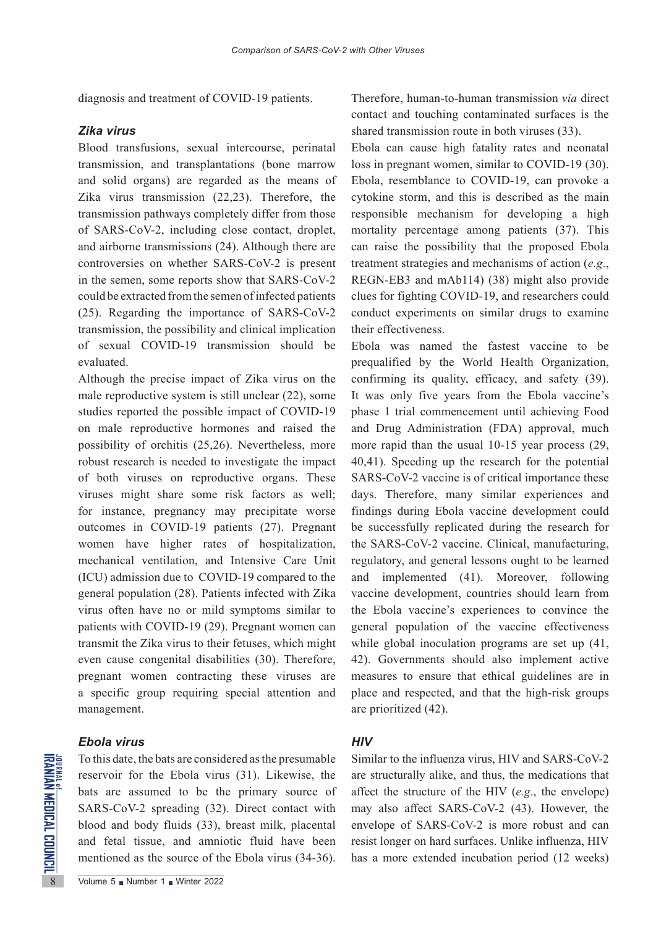diagnosis and treatment of COVID-19 patients.

#### *Zika virus*

Blood transfusions, sexual intercourse, perinatal transmission, and transplantations (bone marrow and solid organs) are regarded as the means of Zika virus transmission (22,23). Therefore, the transmission pathways completely differ from those of SARS-CoV-2, including close contact, droplet, and airborne transmissions (24). Although there are controversies on whether SARS-CoV-2 is present in the semen, some reports show that SARS-CoV-2 could be extracted from the semen of infected patients (25). Regarding the importance of SARS-CoV-2 transmission, the possibility and clinical implication of sexual COVID-19 transmission should be evaluated.

Although the precise impact of Zika virus on the male reproductive system is still unclear (22), some studies reported the possible impact of COVID-19 on male reproductive hormones and raised the possibility of orchitis (25,26). Nevertheless, more robust research is needed to investigate the impact of both viruses on reproductive organs. These viruses might share some risk factors as well; for instance, pregnancy may precipitate worse outcomes in COVID-19 patients (27). Pregnant women have higher rates of hospitalization, mechanical ventilation, and Intensive Care Unit (ICU) admission due to COVID-19 compared to the general population (28). Patients infected with Zika virus often have no or mild symptoms similar to patients with COVID-19 (29). Pregnant women can transmit the Zika virus to their fetuses, which might even cause congenital disabilities (30). Therefore, pregnant women contracting these viruses are a specific group requiring special attention and management.

#### *Ebola virus*

To this date, the bats are considered<br>
SARS-CoV-2 spreading (32)<br>
blood and body fluids (33),<br>
and fetal tissue, and amniminationed as the source of the<br>
SARS-CoV-2 spreading (32)<br>
blood and body fluids (33),<br>
and fetal ti To this date, the bats are considered as the presumable reservoir for the Ebola virus (31). Likewise, the bats are assumed to be the primary source of SARS-CoV-2 spreading (32). Direct contact with blood and body fluids (33), breast milk, placental and fetal tissue, and amniotic fluid have been mentioned as the source of the Ebola virus (34-36).

Therefore, human-to-human transmission *via* direct contact and touching contaminated surfaces is the shared transmission route in both viruses (33).

Ebola can cause high fatality rates and neonatal loss in pregnant women, similar to COVID-19 (30). Ebola, resemblance to COVID-19, can provoke a cytokine storm, and this is described as the main responsible mechanism for developing a high mortality percentage among patients (37). This can raise the possibility that the proposed Ebola treatment strategies and mechanisms of action (*e.g*., REGN-EB3 and mAb114) (38) might also provide clues for fighting COVID-19, and researchers could conduct experiments on similar drugs to examine their effectiveness.

Ebola was named the fastest vaccine to be prequalified by the World Health Organization, confirming its quality, efficacy, and safety (39). It was only five years from the Ebola vaccine's phase 1 trial commencement until achieving Food and Drug Administration (FDA) approval, much more rapid than the usual 10-15 year process (29, 40,41). Speeding up the research for the potential SARS-CoV-2 vaccine is of critical importance these days. Therefore, many similar experiences and findings during Ebola vaccine development could be successfully replicated during the research for the SARS-CoV-2 vaccine. Clinical, manufacturing, regulatory, and general lessons ought to be learned and implemented (41). Moreover, following vaccine development, countries should learn from the Ebola vaccine's experiences to convince the general population of the vaccine effectiveness while global inoculation programs are set up (41, 42). Governments should also implement active measures to ensure that ethical guidelines are in place and respected, and that the high-risk groups are prioritized (42).

#### *HIV*

Similar to the influenza virus, HIV and SARS-CoV-2 are structurally alike, and thus, the medications that affect the structure of the HIV (*e.g*., the envelope) may also affect SARS-CoV-2 (43). However, the envelope of SARS-CoV-2 is more robust and can resist longer on hard surfaces. Unlike influenza, HIV has a more extended incubation period (12 weeks)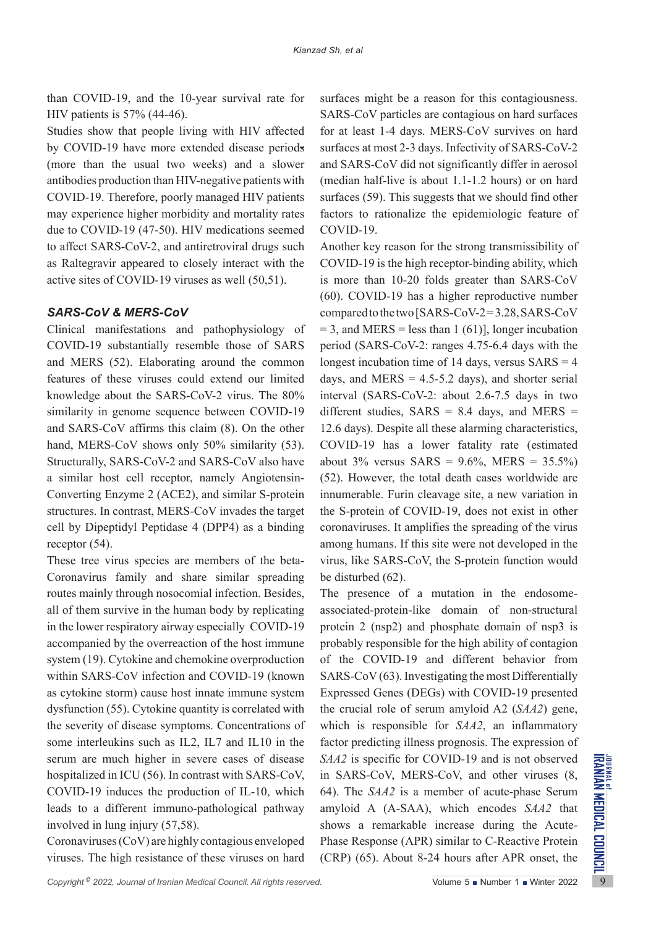than COVID-19, and the 10-year survival rate for HIV patients is 57% (44-46).

Studies show that people living with HIV affected by COVID-19 have more extended disease periods (more than the usual two weeks) and a slower antibodies production than HIV-negative patients with COVID-19. Therefore, poorly managed HIV patients may experience higher morbidity and mortality rates due to COVID-19 (47-50). HIV medications seemed to affect SARS-CoV-2, and antiretroviral drugs such as Raltegravir appeared to closely interact with the active sites of COVID-19 viruses as well (50,51).

# *SARS-CoV & MERS-CoV*

Clinical manifestations and pathophysiology of COVID-19 substantially resemble those of SARS and MERS (52). Elaborating around the common features of these viruses could extend our limited knowledge about the SARS-CoV-2 virus. The 80% similarity in genome sequence between COVID-19 and SARS-CoV affirms this claim (8). On the other hand, MERS-CoV shows only 50% similarity (53). Structurally, SARS-CoV-2 and SARS-CoV also have a similar host cell receptor, namely Angiotensin-Converting Enzyme 2 (ACE2), and similar S-protein structures. In contrast, MERS-CoV invades the target cell by Dipeptidyl Peptidase 4 (DPP4) as a binding receptor (54).

These tree virus species are members of the beta-Coronavirus family and share similar spreading routes mainly through nosocomial infection. Besides, all of them survive in the human body by replicating in the lower respiratory airway especially COVID-19 accompanied by the overreaction of the host immune system (19). Cytokine and chemokine overproduction within SARS-CoV infection and COVID-19 (known as cytokine storm) cause host innate immune system dysfunction (55). Cytokine quantity is correlated with the severity of disease symptoms. Concentrations of some interleukins such as IL2, IL7 and IL10 in the serum are much higher in severe cases of disease hospitalized in ICU (56). In contrast with SARS-CoV, COVID-19 induces the production of IL-10, which leads to a different immuno-pathological pathway involved in lung injury (57,58).

Coronaviruses (CoV) are highly contagious enveloped viruses. The high resistance of these viruses on hard surfaces might be a reason for this contagiousness. SARS-CoV particles are contagious on hard surfaces for at least 1-4 days. MERS-CoV survives on hard surfaces at most 2-3 days. Infectivity of SARS-CoV-2 and SARS-CoV did not significantly differ in aerosol (median half-live is about 1.1-1.2 hours) or on hard surfaces (59). This suggests that we should find other factors to rationalize the epidemiologic feature of COVID-19.

Another key reason for the strong transmissibility of COVID-19 is the high receptor-binding ability, which is more than 10-20 folds greater than SARS-CoV (60). COVID-19 has a higher reproductive number compared to the two [SARS-CoV-2 = 3.28, SARS-CoV  $= 3$ , and MERS = less than 1 (61)], longer incubation period (SARS-CoV-2: ranges 4.75-6.4 days with the longest incubation time of 14 days, versus  $SARS = 4$ days, and MERS  $= 4.5 - 5.2$  days), and shorter serial interval (SARS-CoV-2: about 2.6-7.5 days in two different studies,  $SARS = 8.4$  days, and MERS = 12.6 days). Despite all these alarming characteristics, COVID-19 has a lower fatality rate (estimated about  $3\%$  versus SARS =  $9.6\%$ , MERS =  $35.5\%$ ) (52). However, the total death cases worldwide are innumerable. Furin cleavage site, a new variation in the S-protein of COVID-19, does not exist in other coronaviruses. It amplifies the spreading of the virus among humans. If this site were not developed in the virus, like SARS-CoV, the S-protein function would be disturbed (62).

**Copyright 2022**, *Copyright 2022, Journal of Iranian Medical Council. All rights reserved.* The Same is Number 1 Winter 2022 9 **Covid 2022**, *Covid 2012 Method of IL-10*, which 64). The *SAA2* is a member of acute-phase S The presence of a mutation in the endosomeassociated-protein-like domain of non-structural protein 2 (nsp2) and phosphate domain of nsp3 is probably responsible for the high ability of contagion of the COVID-19 and different behavior from SARS-CoV (63). Investigating the most Differentially Expressed Genes (DEGs) with COVID-19 presented the crucial role of serum amyloid A2 (*SAA2*) gene, which is responsible for *SAA2*, an inflammatory factor predicting illness prognosis. The expression of *SAA2* is specific for COVID-19 and is not observed in SARS-CoV, MERS-CoV, and other viruses (8, 64). The *SAA2* is a member of acute-phase Serum amyloid A (A-SAA), which encodes *SAA2* that shows a remarkable increase during the Acute-Phase Response (APR) similar to C-Reactive Protein (CRP) (65). About 8-24 hours after APR onset, the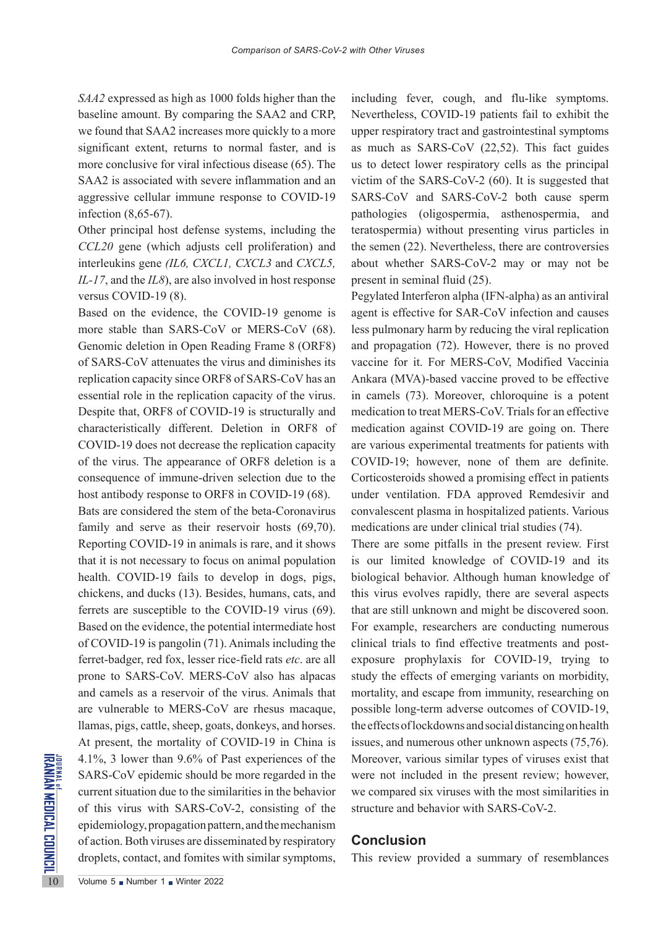*SAA2* expressed as high as 1000 folds higher than the baseline amount. By comparing the SAA2 and CRP, we found that SAA2 increases more quickly to a more significant extent, returns to normal faster, and is more conclusive for viral infectious disease (65). The SAA2 is associated with severe inflammation and an aggressive cellular immune response to COVID-19 infection (8,65-67).

Other principal host defense systems, including the *CCL20* gene (which adjusts cell proliferation) and interleukins gene *(IL6, CXCL1, CXCL3* and *CXCL5, IL-17*, and the *IL8*), are also involved in host response versus COVID-19 (8).

Based on the evidence, the COVID-19 genome is more stable than SARS-CoV or MERS-CoV (68). Genomic deletion in Open Reading Frame 8 (ORF8) of SARS-CoV attenuates the virus and diminishes its replication capacity since ORF8 of SARS-CoV has an essential role in the replication capacity of the virus. Despite that, ORF8 of COVID-19 is structurally and characteristically different. Deletion in ORF8 of COVID-19 does not decrease the replication capacity of the virus. The appearance of ORF8 deletion is a consequence of immune-driven selection due to the host antibody response to ORF8 in COVID-19 (68).

4.1%, 3 lower than 9.6% of I<br>
SARS-CoV epidemic should b<br>
current situation due to the sim<br>
of this virus with SARS-Co<br>
epidemiology, propagation patt<br>
of action. Both viruses are disse<br>
droplets, contact, and fomites<br>  $\$ Bats are considered the stem of the beta-Coronavirus family and serve as their reservoir hosts (69,70). Reporting COVID-19 in animals is rare, and it shows that it is not necessary to focus on animal population health. COVID-19 fails to develop in dogs, pigs, chickens, and ducks (13). Besides, humans, cats, and ferrets are susceptible to the COVID-19 virus (69). Based on the evidence, the potential intermediate host of COVID-19 is pangolin (71). Animals including the ferret-badger, red fox, lesser rice-field rats *etc*. are all prone to SARS-CoV. MERS-CoV also has alpacas and camels as a reservoir of the virus. Animals that are vulnerable to MERS-CoV are rhesus macaque, llamas, pigs, cattle, sheep, goats, donkeys, and horses. At present, the mortality of COVID-19 in China is 4.1%, 3 lower than 9.6% of Past experiences of the SARS-CoV epidemic should be more regarded in the current situation due to the similarities in the behavior of this virus with SARS-CoV-2, consisting of the epidemiology, propagation pattern, and the mechanism of action. Both viruses are disseminated by respiratory droplets, contact, and fomites with similar symptoms,

including fever, cough, and flu-like symptoms. Nevertheless, COVID-19 patients fail to exhibit the upper respiratory tract and gastrointestinal symptoms as much as SARS-CoV (22,52). This fact guides us to detect lower respiratory cells as the principal victim of the SARS-CoV-2 (60). It is suggested that SARS-CoV and SARS-CoV-2 both cause sperm pathologies (oligospermia, asthenospermia, and teratospermia) without presenting virus particles in the semen (22). Nevertheless, there are controversies about whether SARS-CoV-2 may or may not be present in seminal fluid (25).

Pegylated Interferon alpha (IFN-alpha) as an antiviral agent is effective for SAR-CoV infection and causes less pulmonary harm by reducing the viral replication and propagation (72). However, there is no proved vaccine for it. For MERS-CoV, Modified Vaccinia Ankara (MVA)-based vaccine proved to be effective in camels (73). Moreover, chloroquine is a potent medication to treat MERS-CoV. Trials for an effective medication against COVID-19 are going on. There are various experimental treatments for patients with COVID-19; however, none of them are definite. Corticosteroids showed a promising effect in patients under ventilation. FDA approved Remdesivir and convalescent plasma in hospitalized patients. Various medications are under clinical trial studies (74).

There are some pitfalls in the present review. First is our limited knowledge of COVID-19 and its biological behavior. Although human knowledge of this virus evolves rapidly, there are several aspects that are still unknown and might be discovered soon. For example, researchers are conducting numerous clinical trials to find effective treatments and postexposure prophylaxis for COVID-19, trying to study the effects of emerging variants on morbidity, mortality, and escape from immunity, researching on possible long-term adverse outcomes of COVID-19, the effects of lockdowns and social distancing on health issues, and numerous other unknown aspects (75,76). Moreover, various similar types of viruses exist that were not included in the present review; however, we compared six viruses with the most similarities in structure and behavior with SARS-CoV-2.

#### **Conclusion**

This review provided a summary of resemblances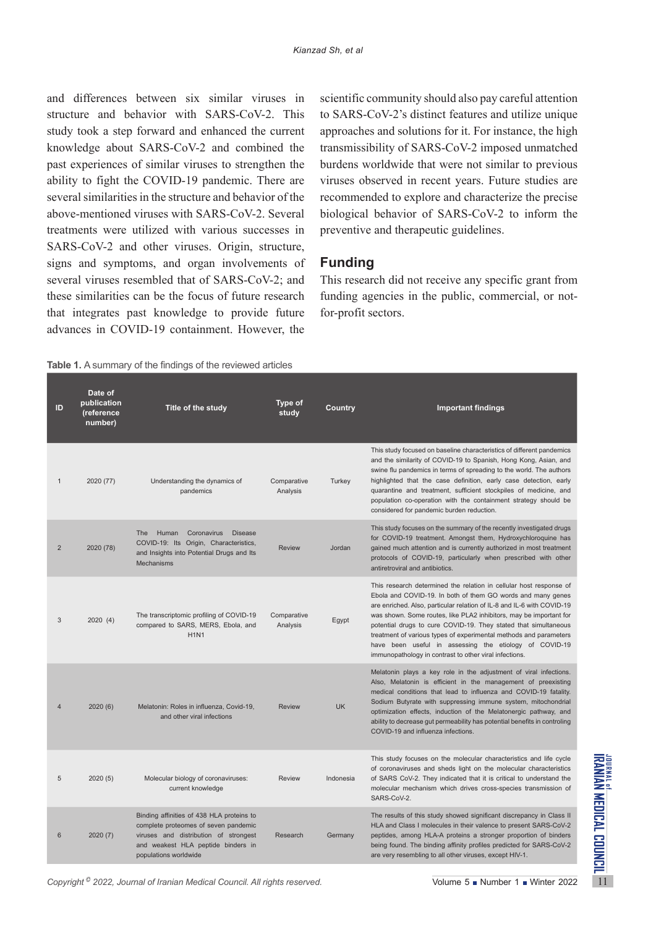and differences between six similar viruses in structure and behavior with SARS-CoV-2. This study took a step forward and enhanced the current knowledge about SARS-CoV-2 and combined the past experiences of similar viruses to strengthen the ability to fight the COVID-19 pandemic. There are several similarities in the structure and behavior of the above-mentioned viruses with SARS-CoV-2. Several treatments were utilized with various successes in SARS-CoV-2 and other viruses. Origin, structure, signs and symptoms, and organ involvements of several viruses resembled that of SARS-CoV-2; and these similarities can be the focus of future research that integrates past knowledge to provide future advances in COVID-19 containment. However, the scientific community should also pay careful attention to SARS-CoV-2's distinct features and utilize unique approaches and solutions for it. For instance, the high transmissibility of SARS-CoV-2 imposed unmatched burdens worldwide that were not similar to previous viruses observed in recent years. Future studies are recommended to explore and characterize the precise biological behavior of SARS-CoV-2 to inform the preventive and therapeutic guidelines.

# **Funding**

This research did not receive any specific grant from funding agencies in the public, commercial, or notfor-profit sectors.

**Table 1.** A summary of the findings of the reviewed articles

| ID             | Date of<br>publication<br>(reference<br>number) | Title of the study                                                                                                                                                                        | Type of<br>study        | Country       | <b>Important findings</b>                                                                                                                                                                                                                                                                                                                                                                                                                                                                                                                     |
|----------------|-------------------------------------------------|-------------------------------------------------------------------------------------------------------------------------------------------------------------------------------------------|-------------------------|---------------|-----------------------------------------------------------------------------------------------------------------------------------------------------------------------------------------------------------------------------------------------------------------------------------------------------------------------------------------------------------------------------------------------------------------------------------------------------------------------------------------------------------------------------------------------|
| $\mathbf{1}$   | 2020 (77)                                       | Understanding the dynamics of<br>pandemics                                                                                                                                                | Comparative<br>Analysis | Turkey        | This study focused on baseline characteristics of different pandemics<br>and the similarity of COVID-19 to Spanish, Hong Kong, Asian, and<br>swine flu pandemics in terms of spreading to the world. The authors<br>highlighted that the case definition, early case detection, early<br>quarantine and treatment, sufficient stockpiles of medicine, and<br>population co-operation with the containment strategy should be<br>considered for pandemic burden reduction.                                                                     |
| 2              | 2020 (78)                                       | <b>The</b><br>Human<br>Coronavirus<br><b>Disease</b><br>COVID-19: Its Origin, Characteristics,<br>and Insights into Potential Drugs and Its<br><b>Mechanisms</b>                          | <b>Review</b>           | <b>Jordan</b> | This study focuses on the summary of the recently investigated drugs<br>for COVID-19 treatment. Amongst them, Hydroxychloroquine has<br>gained much attention and is currently authorized in most treatment<br>protocols of COVID-19, particularly when prescribed with other<br>antiretroviral and antibiotics.                                                                                                                                                                                                                              |
| 3              | 2020(4)                                         | The transcriptomic profiling of COVID-19<br>compared to SARS, MERS, Ebola, and<br><b>H1N1</b>                                                                                             | Comparative<br>Analysis | Egypt         | This research determined the relation in cellular host response of<br>Ebola and COVID-19. In both of them GO words and many genes<br>are enriched. Also, particular relation of IL-8 and IL-6 with COVID-19<br>was shown. Some routes, like PLA2 inhibitors, may be important for<br>potential drugs to cure COVID-19. They stated that simultaneous<br>treatment of various types of experimental methods and parameters<br>have been useful in assessing the etiology of COVID-19<br>immunopathology in contrast to other viral infections. |
| $\overline{4}$ | 2020 (6)                                        | Melatonin: Roles in influenza, Covid-19,<br>and other viral infections                                                                                                                    | <b>Review</b>           | <b>UK</b>     | Melatonin plays a key role in the adjustment of viral infections.<br>Also, Melatonin is efficient in the management of preexisting<br>medical conditions that lead to influenza and COVID-19 fatality.<br>Sodium Butyrate with suppressing immune system, mitochondrial<br>optimization effects, induction of the Melatonergic pathway, and<br>ability to decrease gut permeability has potential benefits in controling<br>COVID-19 and influenza infections.                                                                                |
| 5              | 2020(5)                                         | Molecular biology of coronaviruses:<br>current knowledge                                                                                                                                  | <b>Review</b>           | Indonesia     | This study focuses on the molecular characteristics and life cycle<br>of coronaviruses and sheds light on the molecular characteristics<br>of SARS CoV-2. They indicated that it is critical to understand the<br>molecular mechanism which drives cross-species transmission of<br>SARS-CoV-2.                                                                                                                                                                                                                                               |
| 6              | 2020 (7)                                        | Binding affinities of 438 HLA proteins to<br>complete proteomes of seven pandemic<br>viruses and distribution of strongest<br>and weakest HLA peptide binders in<br>populations worldwide | Research                | Germany       | The results of this study showed significant discrepancy in Class II<br>HLA and Class I molecules in their valence to present SARS-CoV-2<br>peptides, among HLA-A proteins a stronger proportion of binders<br>being found. The binding affinity profiles predicted for SARS-CoV-2<br>are very resembling to all other viruses, except HIV-1.                                                                                                                                                                                                 |
|                |                                                 | Copyright <sup>©</sup> 2022, Journal of Iranian Medical Council. All rights reserved.                                                                                                     |                         |               | Volume $5 \bullet$ Number 1 $\bullet$ Winter 2022                                                                                                                                                                                                                                                                                                                                                                                                                                                                                             |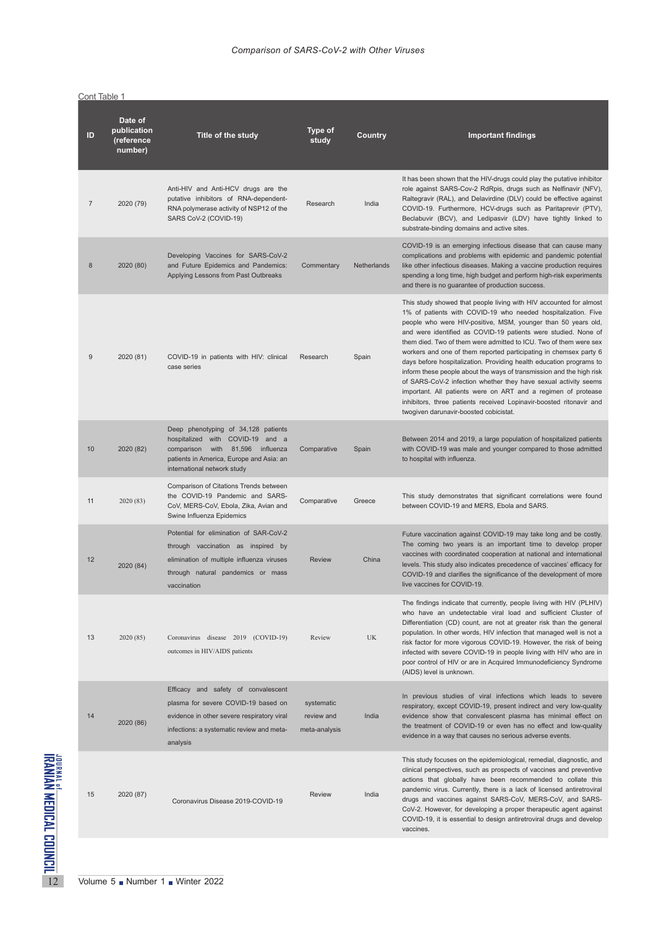|                | Cont Table 1                                    |                                                                                                                                                                                        |                                           |             |                                                                                                                                                                                                                                                                                                                                                                                                                                                                                                                                                                                                                                                                                                                                                                                                                      |
|----------------|-------------------------------------------------|----------------------------------------------------------------------------------------------------------------------------------------------------------------------------------------|-------------------------------------------|-------------|----------------------------------------------------------------------------------------------------------------------------------------------------------------------------------------------------------------------------------------------------------------------------------------------------------------------------------------------------------------------------------------------------------------------------------------------------------------------------------------------------------------------------------------------------------------------------------------------------------------------------------------------------------------------------------------------------------------------------------------------------------------------------------------------------------------------|
| ID             | Date of<br>publication<br>(reference<br>number) | Title of the study                                                                                                                                                                     | Type of<br>study                          | Country     | <b>Important findings</b>                                                                                                                                                                                                                                                                                                                                                                                                                                                                                                                                                                                                                                                                                                                                                                                            |
| $\overline{7}$ | 2020 (79)                                       | Anti-HIV and Anti-HCV drugs are the<br>putative inhibitors of RNA-dependent-<br>RNA polymerase activity of NSP12 of the<br>SARS CoV-2 (COVID-19)                                       | Research                                  | India       | It has been shown that the HIV-drugs could play the putative inhibitor<br>role against SARS-Cov-2 RdRpis, drugs such as Nelfinavir (NFV),<br>Raltegravir (RAL), and Delavirdine (DLV) could be effective against<br>COVID-19. Furthermore, HCV-drugs such as Paritaprevir (PTV),<br>Beclabuvir (BCV), and Ledipasvir (LDV) have tightly linked to<br>substrate-binding domains and active sites.                                                                                                                                                                                                                                                                                                                                                                                                                     |
| 8              | 2020 (80)                                       | Developing Vaccines for SARS-CoV-2<br>and Future Epidemics and Pandemics:<br>Applying Lessons from Past Outbreaks                                                                      | Commentary                                | Netherlands | COVID-19 is an emerging infectious disease that can cause many<br>complications and problems with epidemic and pandemic potential<br>like other infectious diseases. Making a vaccine production requires<br>spending a long time, high budget and perform high-risk experiments<br>and there is no guarantee of production success.                                                                                                                                                                                                                                                                                                                                                                                                                                                                                 |
| 9              | 2020 (81)                                       | COVID-19 in patients with HIV: clinical<br>case series                                                                                                                                 | Research                                  | Spain       | This study showed that people living with HIV accounted for almost<br>1% of patients with COVID-19 who needed hospitalization. Five<br>people who were HIV-positive, MSM, younger than 50 years old,<br>and were identified as COVID-19 patients were studied. None of<br>them died. Two of them were admitted to ICU. Two of them were sex<br>workers and one of them reported participating in chemsex party 6<br>days before hospitalization. Providing health education programs to<br>inform these people about the ways of transmission and the high risk<br>of SARS-CoV-2 infection whether they have sexual activity seems<br>important. All patients were on ART and a regimen of protease<br>inhibitors, three patients received Lopinavir-boosted ritonavir and<br>twogiven darunavir-boosted cobicistat. |
| 10             | 2020 (82)                                       | Deep phenotyping of 34,128 patients<br>hospitalized with COVID-19 and a<br>comparison with 81,596 influenza<br>patients in America, Europe and Asia: an<br>international network study | Comparative                               | Spain       | Between 2014 and 2019, a large population of hospitalized patients<br>with COVID-19 was male and younger compared to those admitted<br>to hospital with influenza.                                                                                                                                                                                                                                                                                                                                                                                                                                                                                                                                                                                                                                                   |
| 11             | 2020 (83)                                       | Comparison of Citations Trends between<br>the COVID-19 Pandemic and SARS-<br>CoV, MERS-CoV, Ebola, Zika, Avian and<br>Swine Influenza Epidemics                                        | Comparative                               | Greece      | This study demonstrates that significant correlations were found<br>between COVID-19 and MERS, Ebola and SARS.                                                                                                                                                                                                                                                                                                                                                                                                                                                                                                                                                                                                                                                                                                       |
| 12             | 2020 (84)                                       | Potential for elimination of SAR-CoV-2<br>through vaccination as inspired by<br>elimination of multiple influenza viruses<br>through natural pandemics or mass<br>vaccination          | <b>Review</b>                             | China       | Future vaccination against COVID-19 may take long and be costly.<br>The coming two years is an important time to develop proper<br>vaccines with coordinated cooperation at national and international<br>levels. This study also indicates precedence of vaccines' efficacy for<br>COVID-19 and clarifies the significance of the development of more<br>live vaccines for COVID-19.                                                                                                                                                                                                                                                                                                                                                                                                                                |
| 13             | 2020 (85)                                       | Coronavirus disease 2019 (COVID-19)<br>outcomes in HIV/AIDS patients                                                                                                                   | Review                                    | <b>UK</b>   | The findings indicate that currently, people living with HIV (PLHIV)<br>who have an undetectable viral load and sufficient Cluster of<br>Differentiation (CD) count, are not at greater risk than the general<br>population. In other words, HIV infection that managed well is not a<br>risk factor for more vigorous COVID-19. However, the risk of being<br>infected with severe COVID-19 in people living with HIV who are in<br>poor control of HIV or are in Acquired Immunodeficiency Syndrome<br>(AIDS) level is unknown.                                                                                                                                                                                                                                                                                    |
| 14             | 2020 (86)                                       | Efficacy and safety of convalescent<br>plasma for severe COVID-19 based on<br>evidence in other severe respiratory viral<br>infections: a systematic review and meta-<br>analysis      | systematic<br>review and<br>meta-analysis | India       | In previous studies of viral infections which leads to severe<br>respiratory, except COVID-19, present indirect and very low-quality<br>evidence show that convalescent plasma has minimal effect on<br>the treatment of COVID-19 or even has no effect and low-quality<br>evidence in a way that causes no serious adverse events.                                                                                                                                                                                                                                                                                                                                                                                                                                                                                  |
| 15             | 2020 (87)                                       | Coronavirus Disease 2019-COVID-19                                                                                                                                                      | <b>Review</b>                             | India       | This study focuses on the epidemiological, remedial, diagnostic, and<br>clinical perspectives, such as prospects of vaccines and preventive<br>actions that globally have been recommended to collate this<br>pandemic virus. Currently, there is a lack of licensed antiretroviral<br>drugs and vaccines against SARS-CoV, MERS-CoV, and SARS-<br>CoV-2. However, for developing a proper therapeutic agent against<br>COVID-19, it is essential to design antiretroviral drugs and develop<br>vaccines.                                                                                                                                                                                                                                                                                                            |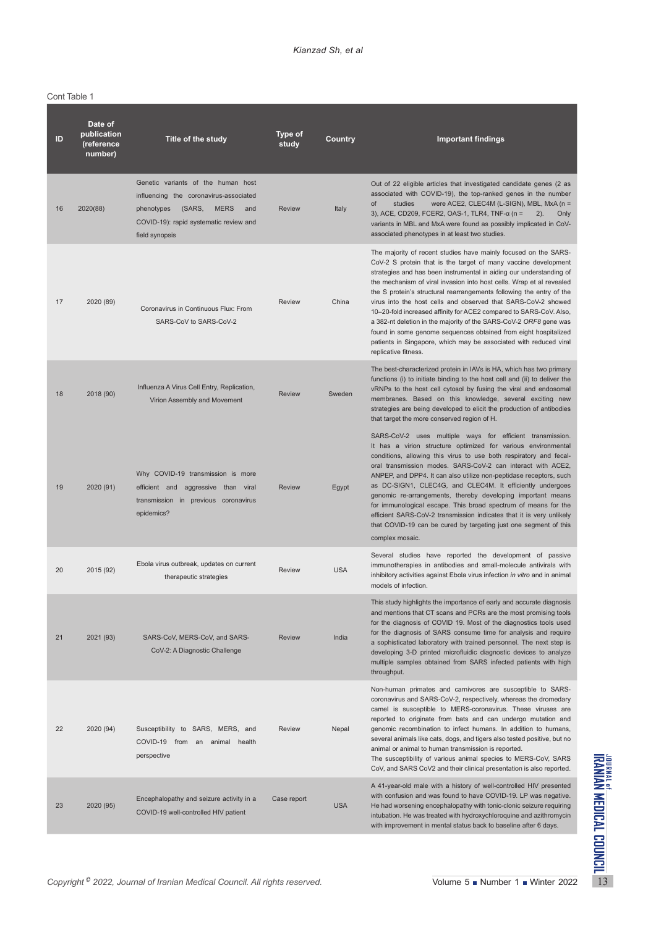Cont Table 1

| ID | Date of<br>publication<br>(reference<br>number) | Title of the study                                                                                                                                                                     | Type of<br>study | Country    | <b>Important findings</b>                                                                                                                                                                                                                                                                                                                                                                                                                                                                                                                                                                                                                                                                                                            |
|----|-------------------------------------------------|----------------------------------------------------------------------------------------------------------------------------------------------------------------------------------------|------------------|------------|--------------------------------------------------------------------------------------------------------------------------------------------------------------------------------------------------------------------------------------------------------------------------------------------------------------------------------------------------------------------------------------------------------------------------------------------------------------------------------------------------------------------------------------------------------------------------------------------------------------------------------------------------------------------------------------------------------------------------------------|
| 16 | 2020(88)                                        | Genetic variants of the human host<br>influencing the coronavirus-associated<br>phenotypes<br>(SARS,<br><b>MERS</b><br>and<br>COVID-19): rapid systematic review and<br>field synopsis | <b>Review</b>    | Italy      | Out of 22 eligible articles that investigated candidate genes (2 as<br>associated with COVID-19), the top-ranked genes in the number<br>were ACE2, CLEC4M (L-SIGN), MBL, MxA ( $n =$<br>of<br>studies<br>3), ACE, CD209, FCER2, OAS-1, TLR4, TNF-α (n =<br>$2)$ .<br>Only<br>variants in MBL and MxA were found as possibly implicated in CoV-<br>associated phenotypes in at least two studies.                                                                                                                                                                                                                                                                                                                                     |
| 17 | 2020 (89)                                       | Coronavirus in Continuous Flux: From<br>SARS-CoV to SARS-CoV-2                                                                                                                         | <b>Review</b>    | China      | The majority of recent studies have mainly focused on the SARS-<br>CoV-2 S protein that is the target of many vaccine development<br>strategies and has been instrumental in aiding our understanding of<br>the mechanism of viral invasion into host cells. Wrap et al revealed<br>the S protein's structural rearrangements following the entry of the<br>virus into the host cells and observed that SARS-CoV-2 showed<br>10-20-fold increased affinity for ACE2 compared to SARS-CoV. Also,<br>a 382-nt deletion in the majority of the SARS-CoV-2 ORF8 gene was<br>found in some genome sequences obtained from eight hospitalized<br>patients in Singapore, which may be associated with reduced viral<br>replicative fitness. |
| 18 | 2018 (90)                                       | Influenza A Virus Cell Entry, Replication,<br>Virion Assembly and Movement                                                                                                             | <b>Review</b>    | Sweden     | The best-characterized protein in IAVs is HA, which has two primary<br>functions (i) to initiate binding to the host cell and (ii) to deliver the<br>vRNPs to the host cell cytosol by fusing the viral and endosomal<br>membranes. Based on this knowledge, several exciting new<br>strategies are being developed to elicit the production of antibodies<br>that target the more conserved region of H.                                                                                                                                                                                                                                                                                                                            |
| 19 | 2020 (91)                                       | Why COVID-19 transmission is more<br>efficient and aggressive than viral<br>transmission in previous coronavirus<br>epidemics?                                                         | <b>Review</b>    | Egypt      | SARS-CoV-2 uses multiple ways for efficient transmission.<br>It has a virion structure optimized for various environmental<br>conditions, allowing this virus to use both respiratory and fecal-<br>oral transmission modes. SARS-CoV-2 can interact with ACE2,<br>ANPEP, and DPP4. It can also utilize non-peptidase receptors, such<br>as DC-SIGN1, CLEC4G, and CLEC4M. It efficiently undergoes<br>genomic re-arrangements, thereby developing important means<br>for immunological escape. This broad spectrum of means for the<br>efficient SARS-CoV-2 transmission indicates that it is very unlikely<br>that COVID-19 can be cured by targeting just one segment of this<br>complex mosaic.                                   |
| 20 | 2015 (92)                                       | Ebola virus outbreak, updates on current<br>therapeutic strategies                                                                                                                     | <b>Review</b>    | <b>USA</b> | Several studies have reported the development of passive<br>immunotherapies in antibodies and small-molecule antivirals with<br>inhibitory activities against Ebola virus infection in vitro and in animal<br>models of infection.                                                                                                                                                                                                                                                                                                                                                                                                                                                                                                   |
| 21 | 2021 (93)                                       | SARS-CoV, MERS-CoV, and SARS-<br>CoV-2: A Diagnostic Challenge                                                                                                                         | <b>Review</b>    | India      | This study highlights the importance of early and accurate diagnosis<br>and mentions that CT scans and PCRs are the most promising tools<br>for the diagnosis of COVID 19. Most of the diagnostics tools used<br>for the diagnosis of SARS consume time for analysis and require<br>a sophisticated laboratory with trained personnel. The next step is<br>developing 3-D printed microfluidic diagnostic devices to analyze<br>multiple samples obtained from SARS infected patients with high<br>throughput.                                                                                                                                                                                                                       |
| 22 | 2020 (94)                                       | Susceptibility to SARS, MERS, and<br>COVID-19 from an animal<br>health<br>perspective                                                                                                  | <b>Review</b>    | Nepal      | Non-human primates and carnivores are susceptible to SARS-<br>coronavirus and SARS-CoV-2, respectively, whereas the dromedary<br>camel is susceptible to MERS-coronavirus. These viruses are<br>reported to originate from bats and can undergo mutation and<br>genomic recombination to infect humans. In addition to humans,<br>several animals like cats, dogs, and tigers also tested positive, but no<br>animal or animal to human transmission is reported.<br>The susceptibility of various animal species to MERS-CoV, SARS<br>CoV, and SARS CoV2 and their clinical presentation is also reported.                                                                                                                          |
| 23 | 2020 (95)                                       | Encephalopathy and seizure activity in a<br>COVID-19 well-controlled HIV patient                                                                                                       | Case report      | <b>USA</b> | A 41-year-old male with a history of well-controlled HIV presented<br>with confusion and was found to have COVID-19. LP was negative.<br>He had worsening encephalopathy with tonic-clonic seizure requiring<br>intubation. He was treated with hydroxychloroquine and azithromycin<br>with improvement in mental status back to baseline after 6 days.                                                                                                                                                                                                                                                                                                                                                                              |
|    |                                                 |                                                                                                                                                                                        |                  |            |                                                                                                                                                                                                                                                                                                                                                                                                                                                                                                                                                                                                                                                                                                                                      |
|    |                                                 | Copyright <sup>©</sup> 2022, Journal of Iranian Medical Council. All rights reserved.                                                                                                  |                  |            | Volume 5 Number 1 Winter 2022                                                                                                                                                                                                                                                                                                                                                                                                                                                                                                                                                                                                                                                                                                        |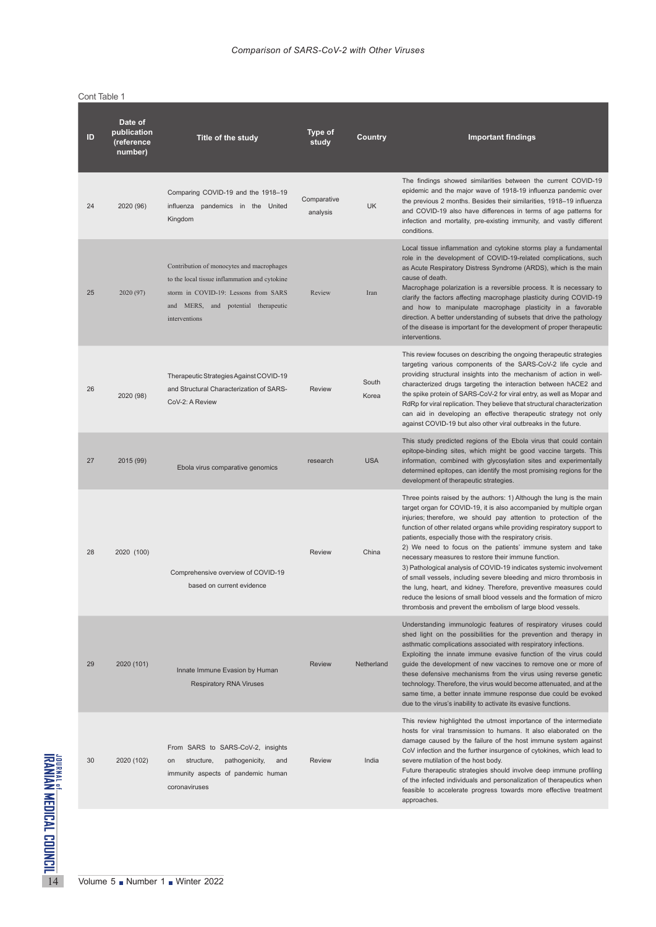|                                                                         | ID | Date of<br>publication<br>(reference<br>number) | Title of the study                                                                                                                                                                         | Type of<br>study        | Country        | <b>Important findings</b>                                                                                                                                                                                                                                                                                                                                                                                                                                                                                                                                                                                                                                                                                                                                                                                                               |
|-------------------------------------------------------------------------|----|-------------------------------------------------|--------------------------------------------------------------------------------------------------------------------------------------------------------------------------------------------|-------------------------|----------------|-----------------------------------------------------------------------------------------------------------------------------------------------------------------------------------------------------------------------------------------------------------------------------------------------------------------------------------------------------------------------------------------------------------------------------------------------------------------------------------------------------------------------------------------------------------------------------------------------------------------------------------------------------------------------------------------------------------------------------------------------------------------------------------------------------------------------------------------|
|                                                                         | 24 | 2020 (96)                                       | Comparing COVID-19 and the 1918-19<br>influenza pandemics in the United<br>Kingdom                                                                                                         | Comparative<br>analysis | <b>UK</b>      | The findings showed similarities between the current COVID-19<br>epidemic and the major wave of 1918-19 influenza pandemic over<br>the previous 2 months. Besides their similarities, 1918-19 influenza<br>and COVID-19 also have differences in terms of age patterns for<br>infection and mortality, pre-existing immunity, and vastly different<br>conditions.                                                                                                                                                                                                                                                                                                                                                                                                                                                                       |
|                                                                         | 25 | 2020 (97)                                       | Contribution of monocytes and macrophages<br>to the local tissue inflammation and cytokine<br>storm in COVID-19: Lessons from SARS<br>and MERS, and potential therapeutic<br>interventions | Review                  | Iran           | Local tissue inflammation and cytokine storms play a fundamental<br>role in the development of COVID-19-related complications, such<br>as Acute Respiratory Distress Syndrome (ARDS), which is the main<br>cause of death.<br>Macrophage polarization is a reversible process. It is necessary to<br>clarify the factors affecting macrophage plasticity during COVID-19<br>and how to manipulate macrophage plasticity in a favorable<br>direction. A better understanding of subsets that drive the pathology<br>of the disease is important for the development of proper therapeutic<br>interventions.                                                                                                                                                                                                                              |
|                                                                         | 26 | 2020 (98)                                       | Therapeutic Strategies Against COVID-19<br>and Structural Characterization of SARS-<br>CoV-2: A Review                                                                                     | <b>Review</b>           | South<br>Korea | This review focuses on describing the ongoing therapeutic strategies<br>targeting various components of the SARS-CoV-2 life cycle and<br>providing structural insights into the mechanism of action in well-<br>characterized drugs targeting the interaction between hACE2 and<br>the spike protein of SARS-CoV-2 for viral entry, as well as Mopar and<br>RdRp for viral replication. They believe that structural characterization<br>can aid in developing an effective therapeutic strategy not only<br>against COVID-19 but also other viral outbreaks in the future.                                                                                                                                                                                                                                                             |
|                                                                         | 27 | 2015 (99)                                       | Ebola virus comparative genomics                                                                                                                                                           | research                | <b>USA</b>     | This study predicted regions of the Ebola virus that could contain<br>epitope-binding sites, which might be good vaccine targets. This<br>information, combined with glycosylation sites and experimentally<br>determined epitopes, can identify the most promising regions for the<br>development of therapeutic strategies.                                                                                                                                                                                                                                                                                                                                                                                                                                                                                                           |
|                                                                         | 28 | 2020 (100)                                      | Comprehensive overview of COVID-19<br>based on current evidence                                                                                                                            | <b>Review</b>           | China          | Three points raised by the authors: 1) Although the lung is the main<br>target organ for COVID-19, it is also accompanied by multiple organ<br>injuries; therefore, we should pay attention to protection of the<br>function of other related organs while providing respiratory support to<br>patients, especially those with the respiratory crisis.<br>2) We need to focus on the patients' immune system and take<br>necessary measures to restore their immune function.<br>3) Pathological analysis of COVID-19 indicates systemic involvement<br>of small vessels, including severe bleeding and micro thrombosis in<br>the lung, heart, and kidney. Therefore, preventive measures could<br>reduce the lesions of small blood vessels and the formation of micro<br>thrombosis and prevent the embolism of large blood vessels. |
|                                                                         | 29 | 2020 (101)                                      | Innate Immune Evasion by Human<br><b>Respiratory RNA Viruses</b>                                                                                                                           | <b>Review</b>           | Netherland     | Understanding immunologic features of respiratory viruses could<br>shed light on the possibilities for the prevention and therapy in<br>asthmatic complications associated with respiratory infections.<br>Exploiting the innate immune evasive function of the virus could<br>quide the development of new vaccines to remove one or more of<br>these defensive mechanisms from the virus using reverse genetic<br>technology. Therefore, the virus would become attenuated, and at the<br>same time, a better innate immune response due could be evoked<br>due to the virus's inability to activate its evasive functions.                                                                                                                                                                                                           |
|                                                                         | 30 | 2020 (102)                                      | From SARS to SARS-CoV-2, insights<br>structure,<br>pathogenicity,<br>on<br>and<br>immunity aspects of pandemic human<br>coronaviruses                                                      | <b>Review</b>           | India          | This review highlighted the utmost importance of the intermediate<br>hosts for viral transmission to humans. It also elaborated on the<br>damage caused by the failure of the host immune system against<br>CoV infection and the further insurgence of cytokines, which lead to<br>severe mutilation of the host body.<br>Future therapeutic strategies should involve deep immune profiling<br>of the infected individuals and personalization of therapeutics when<br>feasible to accelerate progress towards more effective treatment<br>approaches.                                                                                                                                                                                                                                                                                |
| <sup>IOURNAL DE-MEDICAL COUNCIL.</sup><br>RANIAN MEDICAL COUNCIL.<br>14 |    |                                                 | Volume $5 \blacksquare$ Number $1 \blacksquare$ Winter 2022                                                                                                                                |                         |                |                                                                                                                                                                                                                                                                                                                                                                                                                                                                                                                                                                                                                                                                                                                                                                                                                                         |

#### Cont Table 1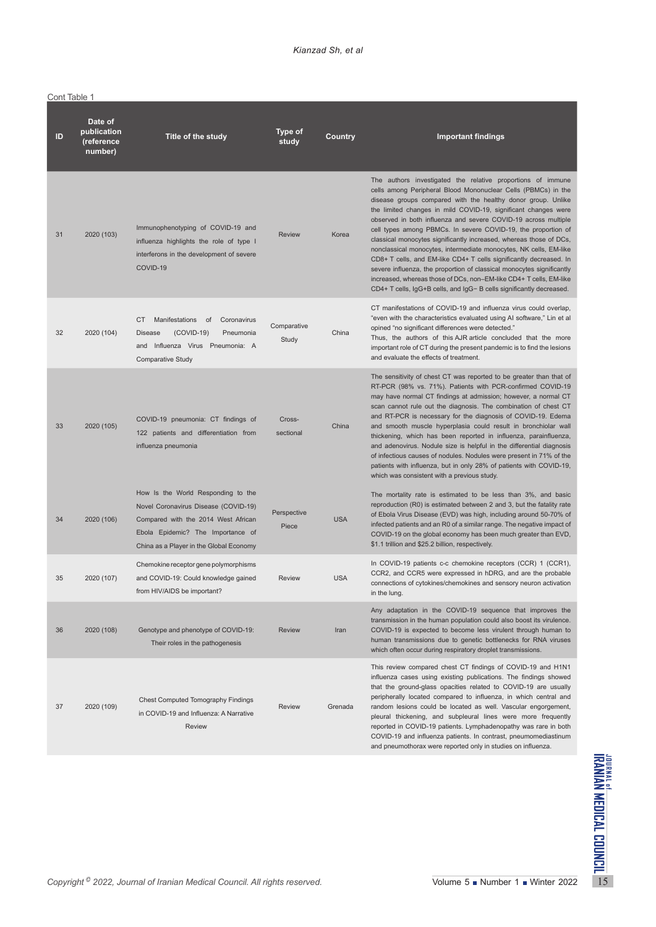| Cont Table 1 |  |
|--------------|--|
|              |  |

| ID | Date of<br>publication<br>(reference<br>number) | Title of the study                                                                                                                                                                                | <b>Type of</b><br>study | Country    | <b>Important findings</b>                                                                                                                                                                                                                                                                                                                                                                                                                                                                                                                                                                                                                                                                                                                                                                                                                 |
|----|-------------------------------------------------|---------------------------------------------------------------------------------------------------------------------------------------------------------------------------------------------------|-------------------------|------------|-------------------------------------------------------------------------------------------------------------------------------------------------------------------------------------------------------------------------------------------------------------------------------------------------------------------------------------------------------------------------------------------------------------------------------------------------------------------------------------------------------------------------------------------------------------------------------------------------------------------------------------------------------------------------------------------------------------------------------------------------------------------------------------------------------------------------------------------|
| 31 | 2020 (103)                                      | Immunophenotyping of COVID-19 and<br>influenza highlights the role of type I<br>interferons in the development of severe<br>COVID-19                                                              | <b>Review</b>           | Korea      | The authors investigated the relative proportions of immune<br>cells among Peripheral Blood Mononuclear Cells (PBMCs) in the<br>disease groups compared with the healthy donor group. Unlike<br>the limited changes in mild COVID-19, significant changes were<br>observed in both influenza and severe COVID-19 across multiple<br>cell types among PBMCs. In severe COVID-19, the proportion of<br>classical monocytes significantly increased, whereas those of DCs,<br>nonclassical monocytes, intermediate monocytes, NK cells, EM-like<br>CD8+ T cells, and EM-like CD4+ T cells significantly decreased. In<br>severe influenza, the proportion of classical monocytes significantly<br>increased, whereas those of DCs, non-EM-like CD4+ T cells, EM-like<br>CD4+ T cells, IgG+B cells, and IgG- B cells significantly decreased. |
| 32 | 2020 (104)                                      | CT<br>Manifestations of<br>Coronavirus<br><b>Disease</b><br>$(COVID-19)$<br>Pneumonia<br>and Influenza Virus Pneumonia: A<br><b>Comparative Study</b>                                             | Comparative<br>Study    | China      | CT manifestations of COVID-19 and influenza virus could overlap,<br>"even with the characteristics evaluated using AI software," Lin et al<br>opined "no significant differences were detected."<br>Thus, the authors of this AJR article concluded that the more<br>important role of CT during the present pandemic is to find the lesions<br>and evaluate the effects of treatment.                                                                                                                                                                                                                                                                                                                                                                                                                                                    |
| 33 | 2020 (105)                                      | COVID-19 pneumonia: CT findings of<br>122 patients and differentiation from<br>influenza pneumonia                                                                                                | Cross-<br>sectional     | China      | The sensitivity of chest CT was reported to be greater than that of<br>RT-PCR (98% vs. 71%). Patients with PCR-confirmed COVID-19<br>may have normal CT findings at admission; however, a normal CT<br>scan cannot rule out the diagnosis. The combination of chest CT<br>and RT-PCR is necessary for the diagnosis of COVID-19. Edema<br>and smooth muscle hyperplasia could result in bronchiolar wall<br>thickening, which has been reported in influenza, parainfluenza,<br>and adenovirus. Nodule size is helpful in the differential diagnosis<br>of infectious causes of nodules. Nodules were present in 71% of the<br>patients with influenza, but in only 28% of patients with COVID-19,<br>which was consistent with a previous study.                                                                                         |
| 34 | 2020 (106)                                      | How Is the World Responding to the<br>Novel Coronavirus Disease (COVID-19)<br>Compared with the 2014 West African<br>Ebola Epidemic? The Importance of<br>China as a Player in the Global Economy | Perspective<br>Piece    | <b>USA</b> | The mortality rate is estimated to be less than 3%, and basic<br>reproduction (R0) is estimated between 2 and 3, but the fatality rate<br>of Ebola Virus Disease (EVD) was high, including around 50-70% of<br>infected patients and an R0 of a similar range. The negative impact of<br>COVID-19 on the global economy has been much greater than EVD,<br>\$1.1 trillion and \$25.2 billion, respectively.                                                                                                                                                                                                                                                                                                                                                                                                                               |
| 35 | 2020 (107)                                      | Chemokine receptor gene polymorphisms<br>and COVID-19: Could knowledge gained<br>from HIV/AIDS be important?                                                                                      | <b>Review</b>           | <b>USA</b> | In COVID-19 patients c-c chemokine receptors (CCR) 1 (CCR1),<br>CCR2, and CCR5 were expressed in hDRG, and are the probable<br>connections of cytokines/chemokines and sensory neuron activation<br>in the lung.                                                                                                                                                                                                                                                                                                                                                                                                                                                                                                                                                                                                                          |
| 36 | 2020 (108)                                      | Genotype and phenotype of COVID-19:<br>Their roles in the pathogenesis                                                                                                                            | <b>Review</b>           | Iran       | Any adaptation in the COVID-19 sequence that improves the<br>transmission in the human population could also boost its virulence.<br>COVID-19 is expected to become less virulent through human to<br>human transmissions due to genetic bottlenecks for RNA viruses<br>which often occur during respiratory droplet transmissions.                                                                                                                                                                                                                                                                                                                                                                                                                                                                                                       |
| 37 | 2020 (109)                                      | <b>Chest Computed Tomography Findings</b><br>in COVID-19 and Influenza: A Narrative<br>Review                                                                                                     | <b>Review</b>           | Grenada    | This review compared chest CT findings of COVID-19 and H1N1<br>influenza cases using existing publications. The findings showed<br>that the ground-glass opacities related to COVID-19 are usually<br>peripherally located compared to influenza, in which central and<br>random lesions could be located as well. Vascular engorgement,<br>pleural thickening, and subpleural lines were more frequently<br>reported in COVID-19 patients. Lymphadenopathy was rare in both<br>COVID-19 and influenza patients. In contrast, pneumomediastinum<br>and pneumothorax were reported only in studies on influenza.                                                                                                                                                                                                                           |
|    |                                                 | Copyright <sup>©</sup> 2022, Journal of Iranian Medical Council. All rights reserved.                                                                                                             |                         |            | Volume 5 Number 1 Winter 2022                                                                                                                                                                                                                                                                                                                                                                                                                                                                                                                                                                                                                                                                                                                                                                                                             |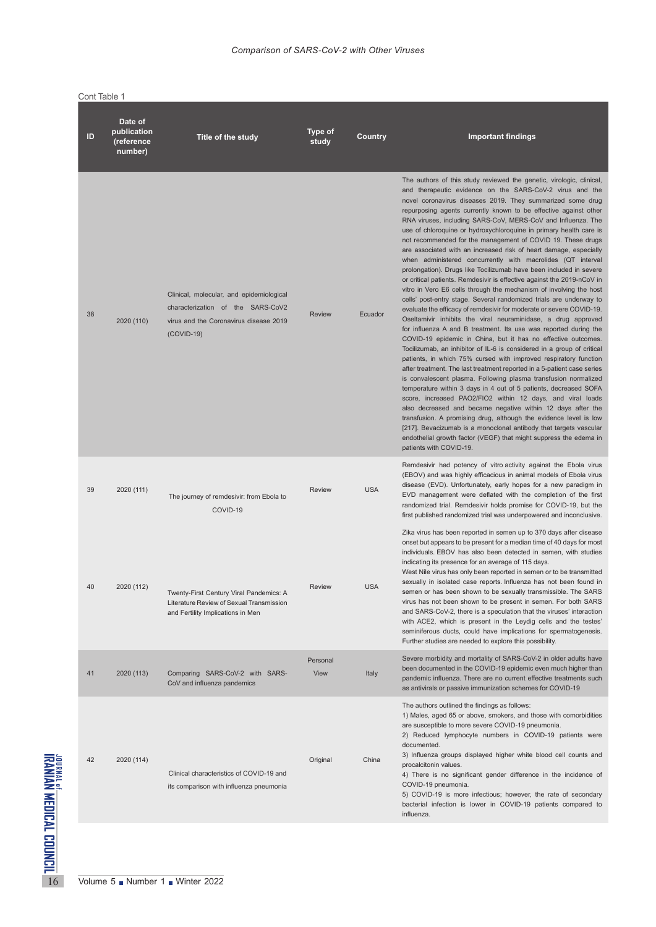| Cont Table 1 |                                                 |                                                                                                                                         |                  |            |                                                                                                                                                                                                                                                                                                                                                                                                                                                                                                                                                                                                                                                                                                                                                                                                                                                                                                                                                                                                                                                                                                                                                                                                                                                                                                                                                                                                                                                                                                                                                                                                                                                                                                                                                                                                                                                                                                                              |
|--------------|-------------------------------------------------|-----------------------------------------------------------------------------------------------------------------------------------------|------------------|------------|------------------------------------------------------------------------------------------------------------------------------------------------------------------------------------------------------------------------------------------------------------------------------------------------------------------------------------------------------------------------------------------------------------------------------------------------------------------------------------------------------------------------------------------------------------------------------------------------------------------------------------------------------------------------------------------------------------------------------------------------------------------------------------------------------------------------------------------------------------------------------------------------------------------------------------------------------------------------------------------------------------------------------------------------------------------------------------------------------------------------------------------------------------------------------------------------------------------------------------------------------------------------------------------------------------------------------------------------------------------------------------------------------------------------------------------------------------------------------------------------------------------------------------------------------------------------------------------------------------------------------------------------------------------------------------------------------------------------------------------------------------------------------------------------------------------------------------------------------------------------------------------------------------------------------|
| ID           | Date of<br>publication<br>(reference<br>number) | Title of the study                                                                                                                      | Type of<br>study | Country    | <b>Important findings</b>                                                                                                                                                                                                                                                                                                                                                                                                                                                                                                                                                                                                                                                                                                                                                                                                                                                                                                                                                                                                                                                                                                                                                                                                                                                                                                                                                                                                                                                                                                                                                                                                                                                                                                                                                                                                                                                                                                    |
| 38           | 2020 (110)                                      | Clinical, molecular, and epidemiological<br>characterization of the SARS-CoV2<br>virus and the Coronavirus disease 2019<br>$(COVID-19)$ | <b>Review</b>    | Ecuador    | The authors of this study reviewed the genetic, virologic, clinical,<br>and therapeutic evidence on the SARS-CoV-2 virus and the<br>novel coronavirus diseases 2019. They summarized some drug<br>repurposing agents currently known to be effective against other<br>RNA viruses, including SARS-CoV, MERS-CoV and Influenza. The<br>use of chloroquine or hydroxychloroquine in primary health care is<br>not recommended for the management of COVID 19. These drugs<br>are associated with an increased risk of heart damage, especially<br>when administered concurrently with macrolides (QT interval<br>prolongation). Drugs like Tocilizumab have been included in severe<br>or critical patients. Remdesivir is effective against the 2019-nCoV in<br>vitro in Vero E6 cells through the mechanism of involving the host<br>cells' post-entry stage. Several randomized trials are underway to<br>evaluate the efficacy of remdesivir for moderate or severe COVID-19.<br>Oseltamivir inhibits the viral neuraminidase, a drug approved<br>for influenza A and B treatment. Its use was reported during the<br>COVID-19 epidemic in China, but it has no effective outcomes.<br>Tocilizumab, an inhibitor of IL-6 is considered in a group of critical<br>patients, in which 75% cursed with improved respiratory function<br>after treatment. The last treatment reported in a 5-patient case series<br>is convalescent plasma. Following plasma transfusion normalized<br>temperature within 3 days in 4 out of 5 patients, decreased SOFA<br>score, increased PAO2/FIO2 within 12 days, and viral loads<br>also decreased and became negative within 12 days after the<br>transfusion. A promising drug, although the evidence level is low<br>[217]. Bevacizumab is a monoclonal antibody that targets vascular<br>endothelial growth factor (VEGF) that might suppress the edema in<br>patients with COVID-19. |
| 39           | 2020 (111)                                      | The journey of remdesivir: from Ebola to<br>COVID-19                                                                                    | Review           | <b>USA</b> | Remdesivir had potency of vitro activity against the Ebola virus<br>(EBOV) and was highly efficacious in animal models of Ebola virus<br>disease (EVD). Unfortunately, early hopes for a new paradigm in<br>EVD management were deflated with the completion of the first<br>randomized trial. Remdesivir holds promise for COVID-19, but the<br>first published randomized trial was underpowered and inconclusive.                                                                                                                                                                                                                                                                                                                                                                                                                                                                                                                                                                                                                                                                                                                                                                                                                                                                                                                                                                                                                                                                                                                                                                                                                                                                                                                                                                                                                                                                                                         |
| 40           | 2020 (112)                                      | Twenty-First Century Viral Pandemics: A<br>Literature Review of Sexual Transmission<br>and Fertility Implications in Men                | <b>Review</b>    | <b>USA</b> | Zika virus has been reported in semen up to 370 days after disease<br>onset but appears to be present for a median time of 40 days for most<br>individuals. EBOV has also been detected in semen, with studies<br>indicating its presence for an average of 115 days.<br>West Nile virus has only been reported in semen or to be transmitted<br>sexually in isolated case reports. Influenza has not been found in<br>semen or has been shown to be sexually transmissible. The SARS<br>virus has not been shown to be present in semen. For both SARS<br>and SARS-CoV-2, there is a speculation that the viruses' interaction<br>with ACE2, which is present in the Leydig cells and the testes'<br>seminiferous ducts, could have implications for spermatogenesis.<br>Further studies are needed to explore this possibility.                                                                                                                                                                                                                                                                                                                                                                                                                                                                                                                                                                                                                                                                                                                                                                                                                                                                                                                                                                                                                                                                                            |
| 41           | 2020 (113)                                      | Comparing SARS-CoV-2 with SARS-<br>CoV and influenza pandemics                                                                          | Personal<br>View | Italy      | Severe morbidity and mortality of SARS-CoV-2 in older adults have<br>been documented in the COVID-19 epidemic even much higher than<br>pandemic influenza. There are no current effective treatments such<br>as antivirals or passive immunization schemes for COVID-19                                                                                                                                                                                                                                                                                                                                                                                                                                                                                                                                                                                                                                                                                                                                                                                                                                                                                                                                                                                                                                                                                                                                                                                                                                                                                                                                                                                                                                                                                                                                                                                                                                                      |
| 42           | 2020 (114)                                      | Clinical characteristics of COVID-19 and<br>its comparison with influenza pneumonia                                                     | Original         | China      | The authors outlined the findings as follows:<br>1) Males, aged 65 or above, smokers, and those with comorbidities<br>are susceptible to more severe COVID-19 pneumonia.<br>2) Reduced lymphocyte numbers in COVID-19 patients were<br>documented.<br>3) Influenza groups displayed higher white blood cell counts and<br>procalcitonin values.<br>4) There is no significant gender difference in the incidence of<br>COVID-19 pneumonia.<br>5) COVID-19 is more infectious; however, the rate of secondary<br>bacterial infection is lower in COVID-19 patients compared to<br>influenza.                                                                                                                                                                                                                                                                                                                                                                                                                                                                                                                                                                                                                                                                                                                                                                                                                                                                                                                                                                                                                                                                                                                                                                                                                                                                                                                                  |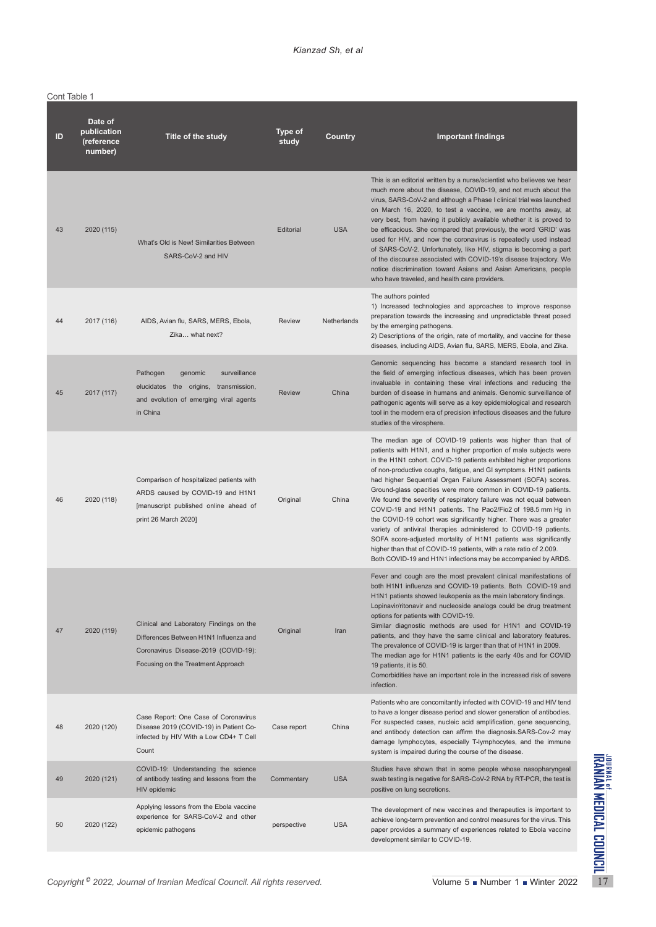Cont Table 1

| Date of<br>publication<br>ID<br>(reference<br>number) | Title of the study                                                                                                                                              | Type of<br>study | Country     | <b>Important findings</b>                                                                                                                                                                                                                                                                                                                                                                                                                                                                                                                                                                                                                                                                                                                                                                                                                                                                               |
|-------------------------------------------------------|-----------------------------------------------------------------------------------------------------------------------------------------------------------------|------------------|-------------|---------------------------------------------------------------------------------------------------------------------------------------------------------------------------------------------------------------------------------------------------------------------------------------------------------------------------------------------------------------------------------------------------------------------------------------------------------------------------------------------------------------------------------------------------------------------------------------------------------------------------------------------------------------------------------------------------------------------------------------------------------------------------------------------------------------------------------------------------------------------------------------------------------|
| 43<br>2020 (115)                                      | What's Old is New! Similarities Between<br>SARS-CoV-2 and HIV                                                                                                   | Editorial        | <b>USA</b>  | This is an editorial written by a nurse/scientist who believes we hear<br>much more about the disease, COVID-19, and not much about the<br>virus, SARS-CoV-2 and although a Phase I clinical trial was launched<br>on March 16, 2020, to test a vaccine, we are months away, at<br>very best, from having it publicly available whether it is proved to<br>be efficacious. She compared that previously, the word 'GRID' was<br>used for HIV, and now the coronavirus is repeatedly used instead<br>of SARS-CoV-2. Unfortunately, like HIV, stigma is becoming a part<br>of the discourse associated with COVID-19's disease trajectory. We<br>notice discrimination toward Asians and Asian Americans, people<br>who have traveled, and health care providers.                                                                                                                                         |
| 44<br>2017 (116)                                      | AIDS, Avian flu, SARS, MERS, Ebola,<br>Zika what next?                                                                                                          | <b>Review</b>    | Netherlands | The authors pointed<br>1) Increased technologies and approaches to improve response<br>preparation towards the increasing and unpredictable threat posed<br>by the emerging pathogens.<br>2) Descriptions of the origin, rate of mortality, and vaccine for these<br>diseases, including AIDS, Avian flu, SARS, MERS, Ebola, and Zika.                                                                                                                                                                                                                                                                                                                                                                                                                                                                                                                                                                  |
| 45<br>2017 (117)                                      | Pathogen<br>surveillance<br>genomic<br>elucidates the origins, transmission,<br>and evolution of emerging viral agents<br>in China                              | <b>Review</b>    | China       | Genomic sequencing has become a standard research tool in<br>the field of emerging infectious diseases, which has been proven<br>invaluable in containing these viral infections and reducing the<br>burden of disease in humans and animals. Genomic surveillance of<br>pathogenic agents will serve as a key epidemiological and research<br>tool in the modern era of precision infectious diseases and the future<br>studies of the virosphere.                                                                                                                                                                                                                                                                                                                                                                                                                                                     |
| 2020 (118)<br>46                                      | Comparison of hospitalized patients with<br>ARDS caused by COVID-19 and H1N1<br>[manuscript published online ahead of<br>print 26 March 2020]                   | Original         | China       | The median age of COVID-19 patients was higher than that of<br>patients with H1N1, and a higher proportion of male subjects were<br>in the H1N1 cohort. COVID-19 patients exhibited higher proportions<br>of non-productive coughs, fatigue, and GI symptoms. H1N1 patients<br>had higher Sequential Organ Failure Assessment (SOFA) scores.<br>Ground-glass opacities were more common in COVID-19 patients.<br>We found the severity of respiratory failure was not equal between<br>COVID-19 and H1N1 patients. The Pao2/Fio2 of 198.5 mm Hg in<br>the COVID-19 cohort was significantly higher. There was a greater<br>variety of antiviral therapies administered to COVID-19 patients.<br>SOFA score-adjusted mortality of H1N1 patients was significantly<br>higher than that of COVID-19 patients, with a rate ratio of 2.009.<br>Both COVID-19 and H1N1 infections may be accompanied by ARDS. |
| 47<br>2020 (119)                                      | Clinical and Laboratory Findings on the<br>Differences Between H1N1 Influenza and<br>Coronavirus Disease-2019 (COVID-19):<br>Focusing on the Treatment Approach | Original         | Iran        | Fever and cough are the most prevalent clinical manifestations of<br>both H1N1 influenza and COVID-19 patients. Both COVID-19 and<br>H1N1 patients showed leukopenia as the main laboratory findings.<br>Lopinavir/ritonavir and nucleoside analogs could be drug treatment<br>options for patients with COVID-19.<br>Similar diagnostic methods are used for H1N1 and COVID-19<br>patients, and they have the same clinical and laboratory features.<br>The prevalence of COVID-19 is larger than that of H1N1 in 2009.<br>The median age for H1N1 patients is the early 40s and for COVID<br>19 patients, it is 50.<br>Comorbidities have an important role in the increased risk of severe<br>infection.                                                                                                                                                                                             |
| 48<br>2020 (120)                                      | Case Report: One Case of Coronavirus<br>Disease 2019 (COVID-19) in Patient Co-<br>infected by HIV With a Low CD4+ T Cell<br>Count                               | Case report      | China       | Patients who are concomitantly infected with COVID-19 and HIV tend<br>to have a longer disease period and slower generation of antibodies.<br>For suspected cases, nucleic acid amplification, gene sequencing,<br>and antibody detection can affirm the diagnosis.SARS-Cov-2 may<br>damage lymphocytes, especially T-lymphocytes, and the immune<br>system is impaired during the course of the disease.                                                                                                                                                                                                                                                                                                                                                                                                                                                                                               |
| 49<br>2020 (121)                                      | COVID-19: Understanding the science<br>of antibody testing and lessons from the<br>HIV epidemic                                                                 | Commentary       | <b>USA</b>  | Studies have shown that in some people whose nasopharyngeal<br>swab testing is negative for SARS-CoV-2 RNA by RT-PCR, the test is<br>positive on lung secretions.                                                                                                                                                                                                                                                                                                                                                                                                                                                                                                                                                                                                                                                                                                                                       |
| 50<br>2020 (122)                                      | Applying lessons from the Ebola vaccine<br>experience for SARS-CoV-2 and other<br>epidemic pathogens                                                            | perspective      | <b>USA</b>  | The development of new vaccines and therapeutics is important to<br>achieve long-term prevention and control measures for the virus. This<br>paper provides a summary of experiences related to Ebola vaccine<br>development similar to COVID-19.                                                                                                                                                                                                                                                                                                                                                                                                                                                                                                                                                                                                                                                       |
|                                                       | Copyright <sup>©</sup> 2022, Journal of Iranian Medical Council. All rights reserved.                                                                           |                  |             | Volume 5 Number 1 Winter 2022                                                                                                                                                                                                                                                                                                                                                                                                                                                                                                                                                                                                                                                                                                                                                                                                                                                                           |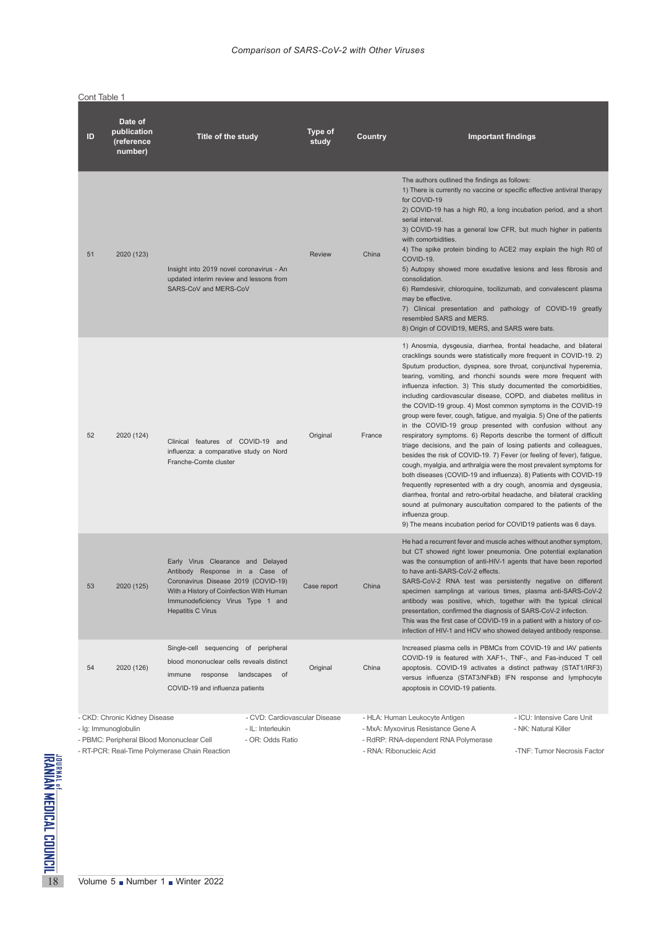| ID | Date of<br>publication<br>(reference<br>number)                                                    | Title of the study                                                                                                                                                                                                      | Type of<br>study | Country | <b>Important findings</b>                                                                                                                                                                                                                                                                                                                                                                                                                                                                                                                                                                                                                                                                                                                                                                                                                                                                                                                                                                                                                                                                                                                                                                                                                                                                        |                                                                                   |
|----|----------------------------------------------------------------------------------------------------|-------------------------------------------------------------------------------------------------------------------------------------------------------------------------------------------------------------------------|------------------|---------|--------------------------------------------------------------------------------------------------------------------------------------------------------------------------------------------------------------------------------------------------------------------------------------------------------------------------------------------------------------------------------------------------------------------------------------------------------------------------------------------------------------------------------------------------------------------------------------------------------------------------------------------------------------------------------------------------------------------------------------------------------------------------------------------------------------------------------------------------------------------------------------------------------------------------------------------------------------------------------------------------------------------------------------------------------------------------------------------------------------------------------------------------------------------------------------------------------------------------------------------------------------------------------------------------|-----------------------------------------------------------------------------------|
| 51 | 2020 (123)                                                                                         | Insight into 2019 novel coronavirus - An<br>updated interim review and lessons from<br>SARS-CoV and MERS-CoV                                                                                                            | <b>Review</b>    | China   | The authors outlined the findings as follows:<br>1) There is currently no vaccine or specific effective antiviral therapy<br>for COVID-19<br>2) COVID-19 has a high R0, a long incubation period, and a short<br>serial interval.<br>3) COVID-19 has a general low CFR, but much higher in patients<br>with comorbidities.<br>4) The spike protein binding to ACE2 may explain the high R0 of<br>COVID-19.<br>5) Autopsy showed more exudative lesions and less fibrosis and<br>consolidation.<br>6) Remdesivir, chloroquine, tocilizumab, and convalescent plasma<br>may be effective.<br>7) Clinical presentation and pathology of COVID-19 greatly<br>resembled SARS and MERS.<br>8) Origin of COVID19, MERS, and SARS were bats.                                                                                                                                                                                                                                                                                                                                                                                                                                                                                                                                                             |                                                                                   |
| 52 | 2020 (124)                                                                                         | Clinical features of COVID-19 and<br>influenza: a comparative study on Nord<br>Franche-Comte cluster                                                                                                                    | Original         | France  | 1) Anosmia, dysgeusia, diarrhea, frontal headache, and bilateral<br>cracklings sounds were statistically more frequent in COVID-19. 2)<br>Sputum production, dyspnea, sore throat, conjunctival hyperemia,<br>tearing, vomiting, and rhonchi sounds were more frequent with<br>influenza infection. 3) This study documented the comorbidities,<br>including cardiovascular disease, COPD, and diabetes mellitus in<br>the COVID-19 group. 4) Most common symptoms in the COVID-19<br>group were fever, cough, fatigue, and myalgia. 5) One of the patients<br>in the COVID-19 group presented with confusion without any<br>respiratory symptoms. 6) Reports describe the torment of difficult<br>triage decisions, and the pain of losing patients and colleagues,<br>besides the risk of COVID-19. 7) Fever (or feeling of fever), fatigue,<br>cough, myalgia, and arthralgia were the most prevalent symptoms for<br>both diseases (COVID-19 and influenza). 8) Patients with COVID-19<br>frequently represented with a dry cough, anosmia and dysgeusia,<br>diarrhea, frontal and retro-orbital headache, and bilateral crackling<br>sound at pulmonary auscultation compared to the patients of the<br>influenza group.<br>9) The means incubation period for COVID19 patients was 6 days. |                                                                                   |
| 53 | 2020 (125)                                                                                         | Early Virus Clearance and Delayed<br>Antibody Response in a Case of<br>Coronavirus Disease 2019 (COVID-19)<br>With a History of Coinfection With Human<br>Immunodeficiency Virus Type 1 and<br><b>Hepatitis C Virus</b> | Case report      | China   | He had a recurrent fever and muscle aches without another symptom,<br>but CT showed right lower pneumonia. One potential explanation<br>was the consumption of anti-HIV-1 agents that have been reported<br>to have anti-SARS-CoV-2 effects.<br>SARS-CoV-2 RNA test was persistently negative on different<br>specimen samplings at various times, plasma anti-SARS-CoV-2<br>antibody was positive, which, together with the typical clinical<br>presentation, confirmed the diagnosis of SARS-CoV-2 infection.<br>This was the first case of COVID-19 in a patient with a history of co-<br>infection of HIV-1 and HCV who showed delayed antibody response.                                                                                                                                                                                                                                                                                                                                                                                                                                                                                                                                                                                                                                    |                                                                                   |
| 54 | 2020 (126)                                                                                         | Single-cell sequencing of peripheral<br>blood mononuclear cells reveals distinct<br>response<br>landscapes of<br>immune<br>COVID-19 and influenza patients                                                              | Original         | China   | Increased plasma cells in PBMCs from COVID-19 and IAV patients<br>COVID-19 is featured with XAF1-, TNF-, and Fas-induced T cell<br>apoptosis. COVID-19 activates a distinct pathway (STAT1/IRF3)<br>versus influenza (STAT3/NFkB) IFN response and lymphocyte<br>apoptosis in COVID-19 patients.                                                                                                                                                                                                                                                                                                                                                                                                                                                                                                                                                                                                                                                                                                                                                                                                                                                                                                                                                                                                 |                                                                                   |
|    | - CKD: Chronic Kidney Disease<br>- Ig: Immunoglobulin<br>- PBMC: Peripheral Blood Mononuclear Cell | - CVD: Cardiovascular Disease<br>- IL: Interleukin<br>- OR: Odds Ratio<br>- RT-PCR: Real-Time Polymerase Chain Reaction                                                                                                 |                  |         | - HLA: Human Leukocyte Antigen<br>- MxA: Myxovirus Resistance Gene A<br>- RdRP: RNA-dependent RNA Polymerase<br>- RNA: Ribonucleic Acid                                                                                                                                                                                                                                                                                                                                                                                                                                                                                                                                                                                                                                                                                                                                                                                                                                                                                                                                                                                                                                                                                                                                                          | - ICU: Intensive Care Unit<br>- NK: Natural Killer<br>-TNF: Tumor Necrosis Factor |
|    |                                                                                                    |                                                                                                                                                                                                                         |                  |         |                                                                                                                                                                                                                                                                                                                                                                                                                                                                                                                                                                                                                                                                                                                                                                                                                                                                                                                                                                                                                                                                                                                                                                                                                                                                                                  |                                                                                   |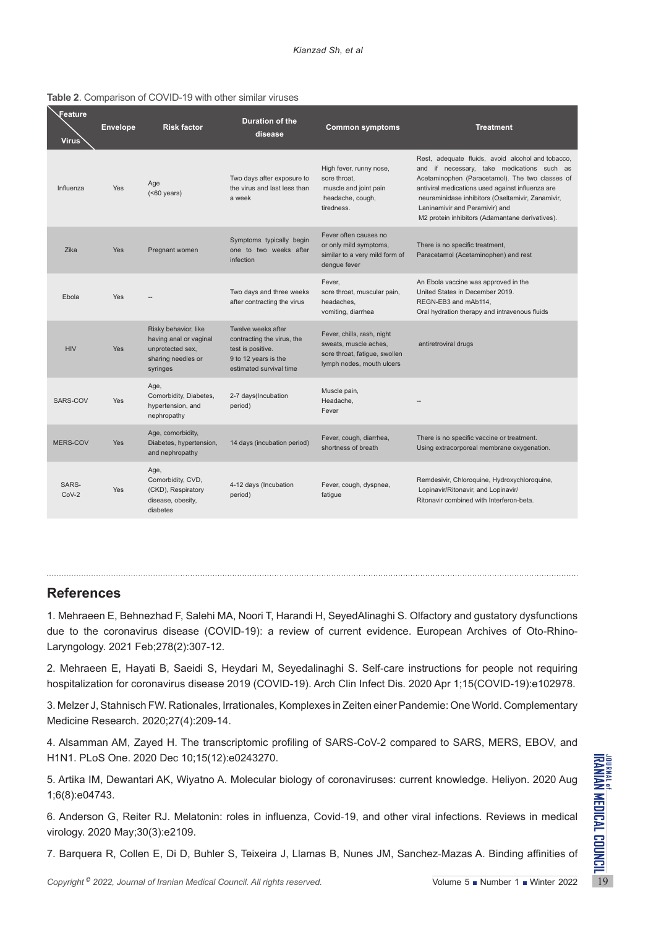| <b>Feature</b><br><b>Virus</b> | <b>Envelope</b> | <b>Risk factor</b>                                                                                   | Duration of the<br>disease                                                                                               | <b>Common symptoms</b>                                                                                            | <b>Treatment</b>                                                                                                                                                                                                                                                                                                                                 |
|--------------------------------|-----------------|------------------------------------------------------------------------------------------------------|--------------------------------------------------------------------------------------------------------------------------|-------------------------------------------------------------------------------------------------------------------|--------------------------------------------------------------------------------------------------------------------------------------------------------------------------------------------------------------------------------------------------------------------------------------------------------------------------------------------------|
| Influenza                      | Yes             | Age<br>( <b>60</b> years)                                                                            | Two days after exposure to<br>the virus and last less than<br>a week                                                     | High fever, runny nose,<br>sore throat,<br>muscle and joint pain<br>headache, cough,<br>tiredness.                | Rest, adequate fluids, avoid alcohol and tobacco,<br>and if necessary, take medications such as<br>Acetaminophen (Paracetamol). The two classes of<br>antiviral medications used against influenza are<br>neuraminidase inhibitors (Oseltamivir, Zanamivir,<br>Laninamivir and Peramivir) and<br>M2 protein inhibitors (Adamantane derivatives). |
| Zika                           | <b>Yes</b>      | Pregnant women                                                                                       | Symptoms typically begin<br>one to two weeks after<br>infection                                                          | Fever often causes no<br>or only mild symptoms,<br>similar to a very mild form of<br>dengue fever                 | There is no specific treatment,<br>Paracetamol (Acetaminophen) and rest                                                                                                                                                                                                                                                                          |
| Ebola                          | Yes             |                                                                                                      | Two days and three weeks<br>after contracting the virus                                                                  | Fever,<br>sore throat, muscular pain,<br>headaches,<br>vomiting, diarrhea                                         | An Ebola vaccine was approved in the<br>United States in December 2019.<br>REGN-EB3 and mAb114.<br>Oral hydration therapy and intravenous fluids                                                                                                                                                                                                 |
| <b>HIV</b>                     | Yes             | Risky behavior, like<br>having anal or vaginal<br>unprotected sex,<br>sharing needles or<br>syringes | Twelve weeks after<br>contracting the virus, the<br>test is positive.<br>9 to 12 years is the<br>estimated survival time | Fever, chills, rash, night<br>sweats, muscle aches,<br>sore throat, fatigue, swollen<br>lymph nodes, mouth ulcers | antiretroviral drugs                                                                                                                                                                                                                                                                                                                             |
| SARS-COV                       | <b>Yes</b>      | Age,<br>Comorbidity, Diabetes,<br>hypertension, and<br>nephropathy                                   | 2-7 days(Incubation<br>period)                                                                                           | Muscle pain,<br>Headache,<br>Fever                                                                                |                                                                                                                                                                                                                                                                                                                                                  |
| <b>MERS-COV</b>                | <b>Yes</b>      | Age, comorbidity,<br>Diabetes, hypertension,<br>and nephropathy                                      | 14 days (incubation period)                                                                                              | Fever, cough, diarrhea,<br>shortness of breath                                                                    | There is no specific vaccine or treatment.<br>Using extracorporeal membrane oxygenation.                                                                                                                                                                                                                                                         |
| SARS-<br>$CoV-2$               | <b>Yes</b>      | Age,<br>Comorbidity, CVD,<br>(CKD), Respiratory<br>disease, obesity,<br>diabetes                     | 4-12 days (Incubation<br>period)                                                                                         | Fever, cough, dyspnea,<br>fatigue                                                                                 | Remdesivir, Chloroquine, Hydroxychloroquine,<br>Lopinavir/Ritonavir, and Lopinavir/<br>Ritonavir combined with Interferon-beta.                                                                                                                                                                                                                  |

# **References**

1. Mehraeen E, Behnezhad F, Salehi MA, Noori T, Harandi H, SeyedAlinaghi S. Olfactory and gustatory dysfunctions due to the coronavirus disease (COVID-19): a review of current evidence. European Archives of Oto-Rhino-Laryngology. 2021 Feb;278(2):307-12.

2. Mehraeen E, Hayati B, Saeidi S, Heydari M, Seyedalinaghi S. Self-care instructions for people not requiring hospitalization for coronavirus disease 2019 (COVID-19). Arch Clin Infect Dis. 2020 Apr 1;15(COVID-19):e102978.

3. Melzer J, Stahnisch FW. Rationales, Irrationales, Komplexes in Zeiten einer Pandemie: One World. Complementary Medicine Research. 2020;27(4):209-14.

4. Alsamman AM, Zayed H. The transcriptomic profiling of SARS-CoV-2 compared to SARS, MERS, EBOV, and H1N1. PLoS One. 2020 Dec 10;15(12):e0243270.

*Copyright* <sup>©</sup> 2022, *Downal of Iranian Medical Council. All rights reserved.<br>
Copyright <sup>®</sup> 2022, <i>Downal of Iranian Medical Council. All rights reserved.*<br>
2022, *Downal of Iranian Medical Council. All rights reserved.* 5. Artika IM, Dewantari AK, Wiyatno A. Molecular biology of coronaviruses: current knowledge. Heliyon. 2020 Aug 1;6(8):e04743.

6. Anderson G, Reiter RJ. Melatonin: roles in influenza, Covid‐19, and other viral infections. Reviews in medical virology. 2020 May;30(3):e2109.

7. Barquera R, Collen E, Di D, Buhler S, Teixeira J, Llamas B, Nunes JM, Sanchez‐Mazas A. Binding affinities of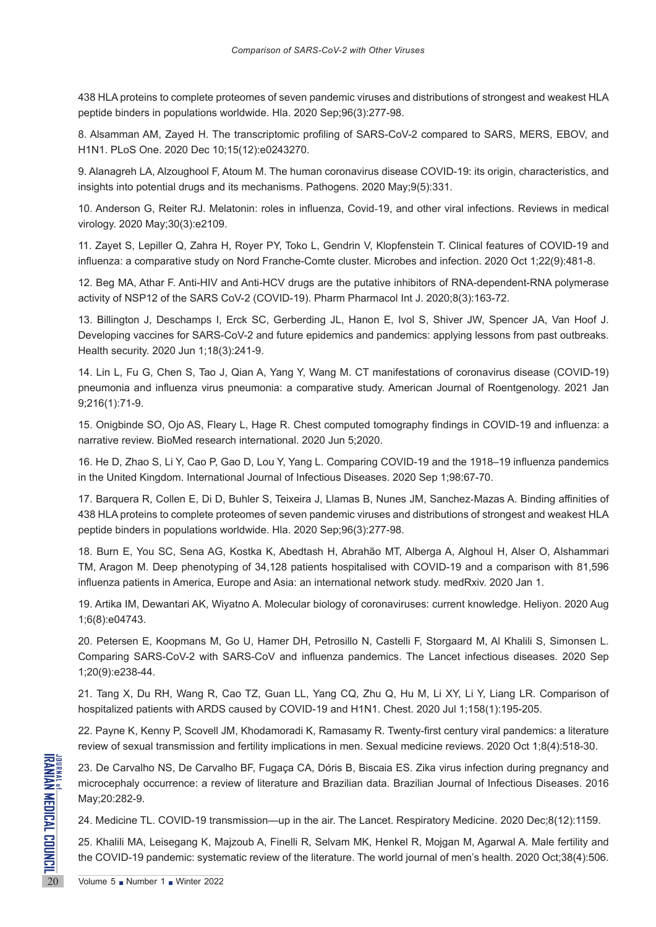438 HLA proteins to complete proteomes of seven pandemic viruses and distributions of strongest and weakest HLA peptide binders in populations worldwide. Hla. 2020 Sep;96(3):277-98.

8. Alsamman AM, Zayed H. The transcriptomic profiling of SARS-CoV-2 compared to SARS, MERS, EBOV, and H1N1. PLoS One. 2020 Dec 10;15(12):e0243270.

9. Alanagreh LA, Alzoughool F, Atoum M. The human coronavirus disease COVID-19: its origin, characteristics, and insights into potential drugs and its mechanisms. Pathogens. 2020 May;9(5):331.

10. Anderson G, Reiter RJ. Melatonin: roles in influenza, Covid‐19, and other viral infections. Reviews in medical virology. 2020 May;30(3):e2109.

11. Zayet S, Lepiller Q, Zahra H, Royer PY, Toko L, Gendrin V, Klopfenstein T. Clinical features of COVID-19 and influenza: a comparative study on Nord Franche-Comte cluster. Microbes and infection. 2020 Oct 1;22(9):481-8.

12. Beg MA, Athar F. Anti-HIV and Anti-HCV drugs are the putative inhibitors of RNA-dependent-RNA polymerase activity of NSP12 of the SARS CoV-2 (COVID-19). Pharm Pharmacol Int J. 2020;8(3):163-72.

13. Billington J, Deschamps I, Erck SC, Gerberding JL, Hanon E, Ivol S, Shiver JW, Spencer JA, Van Hoof J. Developing vaccines for SARS-CoV-2 and future epidemics and pandemics: applying lessons from past outbreaks. Health security. 2020 Jun 1;18(3):241-9.

14. Lin L, Fu G, Chen S, Tao J, Qian A, Yang Y, Wang M. CT manifestations of coronavirus disease (COVID-19) pneumonia and influenza virus pneumonia: a comparative study. American Journal of Roentgenology. 2021 Jan 9;216(1):71-9.

15. Onigbinde SO, Ojo AS, Fleary L, Hage R. Chest computed tomography findings in COVID-19 and influenza: a narrative review. BioMed research international. 2020 Jun 5;2020.

16. He D, Zhao S, Li Y, Cao P, Gao D, Lou Y, Yang L. Comparing COVID-19 and the 1918–19 influenza pandemics in the United Kingdom. International Journal of Infectious Diseases. 2020 Sep 1;98:67-70.

17. Barquera R, Collen E, Di D, Buhler S, Teixeira J, Llamas B, Nunes JM, Sanchez‐Mazas A. Binding affinities of 438 HLA proteins to complete proteomes of seven pandemic viruses and distributions of strongest and weakest HLA peptide binders in populations worldwide. Hla. 2020 Sep;96(3):277-98.

18. Burn E, You SC, Sena AG, Kostka K, Abedtash H, Abrahão MT, Alberga A, Alghoul H, Alser O, Alshammari TM, Aragon M. Deep phenotyping of 34,128 patients hospitalised with COVID-19 and a comparison with 81,596 influenza patients in America, Europe and Asia: an international network study. medRxiv. 2020 Jan 1.

19. Artika IM, Dewantari AK, Wiyatno A. Molecular biology of coronaviruses: current knowledge. Heliyon. 2020 Aug 1;6(8):e04743.

20. Petersen E, Koopmans M, Go U, Hamer DH, Petrosillo N, Castelli F, Storgaard M, Al Khalili S, Simonsen L. Comparing SARS-CoV-2 with SARS-CoV and influenza pandemics. The Lancet infectious diseases. 2020 Sep 1;20(9):e238-44.

21. Tang X, Du RH, Wang R, Cao TZ, Guan LL, Yang CQ, Zhu Q, Hu M, Li XY, Li Y, Liang LR. Comparison of hospitalized patients with ARDS caused by COVID-19 and H1N1. Chest. 2020 Jul 1;158(1):195-205.

22. Payne K, Kenny P, Scovell JM, Khodamoradi K, Ramasamy R. Twenty-first century viral pandemics: a literature review of sexual transmission and fertility implications in men. Sexual medicine reviews. 2020 Oct 1;8(4):518-30.

ENDEVELOPED 23. De Carvalho NS, De Carva<br>
microcephaly occurrence: a rev<br>
May;20:282-9.<br>
24. Medicine TL. COVID-19 transport 25. Khalili MA, Leisegang K, Mannet 2022<br>
20 23. De Carvalho NS, De Carvalho BF, Fugaça CA, Dóris B, Biscaia ES. Zika virus infection during pregnancy and microcephaly occurrence: a review of literature and Brazilian data. Brazilian Journal of Infectious Diseases. 2016 May;20:282-9.

24. Medicine TL. COVID-19 transmission—up in the air. The Lancet. Respiratory Medicine. 2020 Dec;8(12):1159.

25. Khalili MA, Leisegang K, Majzoub A, Finelli R, Selvam MK, Henkel R, Mojgan M, Agarwal A. Male fertility and the COVID-19 pandemic: systematic review of the literature. The world journal of men's health. 2020 Oct;38(4):506.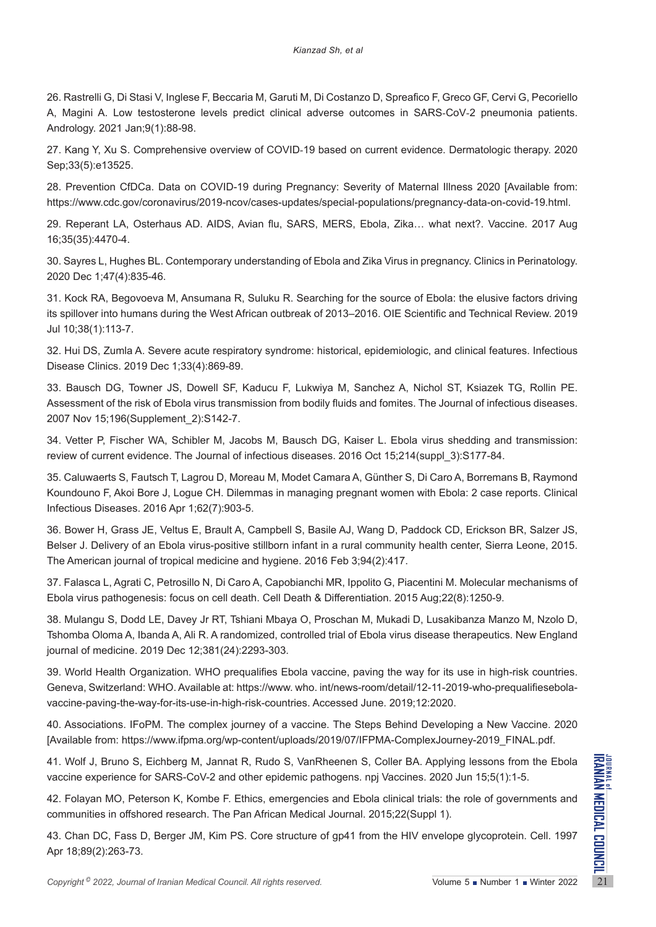26. Rastrelli G, Di Stasi V, Inglese F, Beccaria M, Garuti M, Di Costanzo D, Spreafico F, Greco GF, Cervi G, Pecoriello A, Magini A. Low testosterone levels predict clinical adverse outcomes in SARS‐CoV‐2 pneumonia patients. Andrology. 2021 Jan;9(1):88-98.

27. Kang Y, Xu S. Comprehensive overview of COVID‐19 based on current evidence. Dermatologic therapy. 2020 Sep;33(5):e13525.

28. Prevention CfDCa. Data on COVID-19 during Pregnancy: Severity of Maternal Illness 2020 [Available from: https://www.cdc.gov/coronavirus/2019-ncov/cases-updates/special-populations/pregnancy-data-on-covid-19.html.

29. Reperant LA, Osterhaus AD. AIDS, Avian flu, SARS, MERS, Ebola, Zika… what next?. Vaccine. 2017 Aug 16;35(35):4470-4.

30. Sayres L, Hughes BL. Contemporary understanding of Ebola and Zika Virus in pregnancy. Clinics in Perinatology. 2020 Dec 1;47(4):835-46.

31. Kock RA, Begovoeva M, Ansumana R, Suluku R. Searching for the source of Ebola: the elusive factors driving its spillover into humans during the West African outbreak of 2013–2016. OIE Scientific and Technical Review. 2019 Jul 10;38(1):113-7.

32. Hui DS, Zumla A. Severe acute respiratory syndrome: historical, epidemiologic, and clinical features. Infectious Disease Clinics. 2019 Dec 1;33(4):869-89.

33. Bausch DG, Towner JS, Dowell SF, Kaducu F, Lukwiya M, Sanchez A, Nichol ST, Ksiazek TG, Rollin PE. Assessment of the risk of Ebola virus transmission from bodily fluids and fomites. The Journal of infectious diseases. 2007 Nov 15;196(Supplement\_2):S142-7.

34. Vetter P, Fischer WA, Schibler M, Jacobs M, Bausch DG, Kaiser L. Ebola virus shedding and transmission: review of current evidence. The Journal of infectious diseases. 2016 Oct 15;214(suppl\_3):S177-84.

35. Caluwaerts S, Fautsch T, Lagrou D, Moreau M, Modet Camara A, Günther S, Di Caro A, Borremans B, Raymond Koundouno F, Akoi Bore J, Logue CH. Dilemmas in managing pregnant women with Ebola: 2 case reports. Clinical Infectious Diseases. 2016 Apr 1;62(7):903-5.

36. Bower H, Grass JE, Veltus E, Brault A, Campbell S, Basile AJ, Wang D, Paddock CD, Erickson BR, Salzer JS, Belser J. Delivery of an Ebola virus-positive stillborn infant in a rural community health center, Sierra Leone, 2015. The American journal of tropical medicine and hygiene. 2016 Feb 3;94(2):417.

37. Falasca L, Agrati C, Petrosillo N, Di Caro A, Capobianchi MR, Ippolito G, Piacentini M. Molecular mechanisms of Ebola virus pathogenesis: focus on cell death. Cell Death & Differentiation. 2015 Aug;22(8):1250-9.

38. Mulangu S, Dodd LE, Davey Jr RT, Tshiani Mbaya O, Proschan M, Mukadi D, Lusakibanza Manzo M, Nzolo D, Tshomba Oloma A, Ibanda A, Ali R. A randomized, controlled trial of Ebola virus disease therapeutics. New England journal of medicine. 2019 Dec 12;381(24):2293-303.

39. World Health Organization. WHO prequalifies Ebola vaccine, paving the way for its use in high-risk countries. Geneva, Switzerland: WHO. Available at: https://www. who. int/news-room/detail/12-11-2019-who-prequalifiesebolavaccine-paving-the-way-for-its-use-in-high-risk-countries. Accessed June. 2019;12:2020.

40. Associations. IFoPM. The complex journey of a vaccine. The Steps Behind Developing a New Vaccine. 2020 [Available from: https://www.ifpma.org/wp-content/uploads/2019/07/IFPMA-ComplexJourney-2019\_FINAL.pdf.

41. Wolf J, Bruno S, Eichberg M, Jannat R, Rudo S, VanRheenen S, Coller BA. Applying lessons from the Ebola vaccine experience for SARS-CoV-2 and other epidemic pathogens. npj Vaccines. 2020 Jun 15;5(1):1-5.

42. Folayan MO, Peterson K, Kombe F. Ethics, emergencies and Ebola clinical trials: the role of governments and communities in offshored research. The Pan African Medical Journal. 2015;22(Suppl 1).

**Example 10. In the Ebola** vaccine experience for SARS-CoV-2 and other epidemic pathogens. npj Vaccines. 2020 Jun 15;5(1):1-5.<br>
42. Folayan MO, Peterson K, Kombe F. Ethics, emergencies and Ebola clinical trials: the role 43. Chan DC, Fass D, Berger JM, Kim PS. Core structure of gp41 from the HIV envelope glycoprotein. Cell. 1997 Apr 18;89(2):263-73.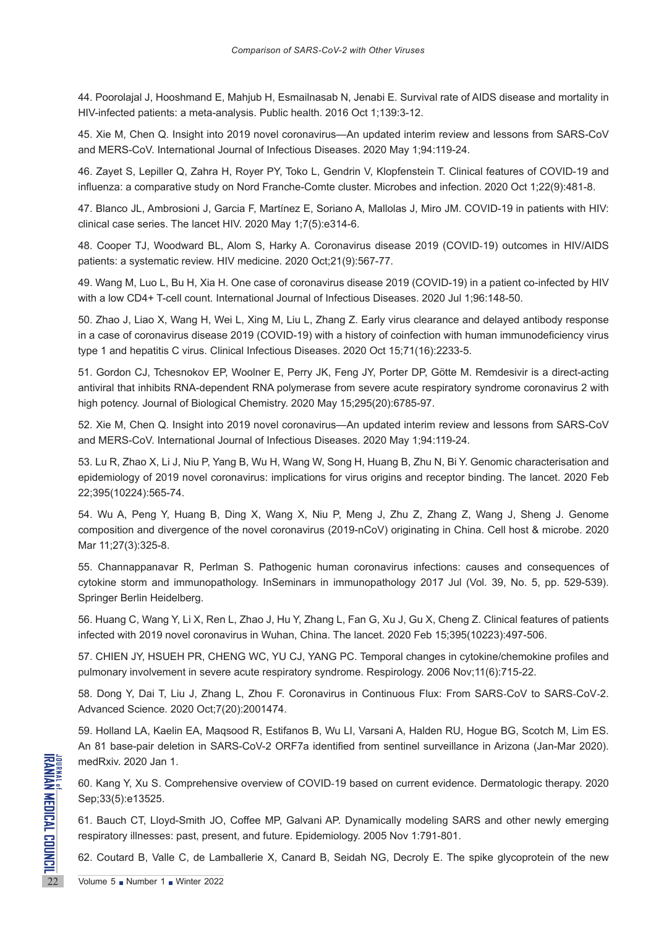44. Poorolajal J, Hooshmand E, Mahjub H, Esmailnasab N, Jenabi E. Survival rate of AIDS disease and mortality in HIV-infected patients: a meta-analysis. Public health. 2016 Oct 1;139:3-12.

45. Xie M, Chen Q. Insight into 2019 novel coronavirus—An updated interim review and lessons from SARS-CoV and MERS-CoV. International Journal of Infectious Diseases. 2020 May 1;94:119-24.

46. Zayet S, Lepiller Q, Zahra H, Royer PY, Toko L, Gendrin V, Klopfenstein T. Clinical features of COVID-19 and influenza: a comparative study on Nord Franche-Comte cluster. Microbes and infection. 2020 Oct 1;22(9):481-8.

47. Blanco JL, Ambrosioni J, Garcia F, Martínez E, Soriano A, Mallolas J, Miro JM. COVID-19 in patients with HIV: clinical case series. The lancet HIV. 2020 May 1;7(5):e314-6.

48. Cooper TJ, Woodward BL, Alom S, Harky A. Coronavirus disease 2019 (COVID‐19) outcomes in HIV/AIDS patients: a systematic review. HIV medicine. 2020 Oct;21(9):567-77.

49. Wang M, Luo L, Bu H, Xia H. One case of coronavirus disease 2019 (COVID-19) in a patient co-infected by HIV with a low CD4+ T-cell count. International Journal of Infectious Diseases. 2020 Jul 1;96:148-50.

50. Zhao J, Liao X, Wang H, Wei L, Xing M, Liu L, Zhang Z. Early virus clearance and delayed antibody response in a case of coronavirus disease 2019 (COVID-19) with a history of coinfection with human immunodeficiency virus type 1 and hepatitis C virus. Clinical Infectious Diseases. 2020 Oct 15;71(16):2233-5.

51. Gordon CJ, Tchesnokov EP, Woolner E, Perry JK, Feng JY, Porter DP, Götte M. Remdesivir is a direct-acting antiviral that inhibits RNA-dependent RNA polymerase from severe acute respiratory syndrome coronavirus 2 with high potency. Journal of Biological Chemistry. 2020 May 15;295(20):6785-97.

52. Xie M, Chen Q. Insight into 2019 novel coronavirus—An updated interim review and lessons from SARS-CoV and MERS-CoV. International Journal of Infectious Diseases. 2020 May 1;94:119-24.

53. Lu R, Zhao X, Li J, Niu P, Yang B, Wu H, Wang W, Song H, Huang B, Zhu N, Bi Y. Genomic characterisation and epidemiology of 2019 novel coronavirus: implications for virus origins and receptor binding. The lancet. 2020 Feb 22;395(10224):565-74.

54. Wu A, Peng Y, Huang B, Ding X, Wang X, Niu P, Meng J, Zhu Z, Zhang Z, Wang J, Sheng J. Genome composition and divergence of the novel coronavirus (2019-nCoV) originating in China. Cell host & microbe. 2020 Mar 11;27(3):325-8.

55. Channappanavar R, Perlman S. Pathogenic human coronavirus infections: causes and consequences of cytokine storm and immunopathology. InSeminars in immunopathology 2017 Jul (Vol. 39, No. 5, pp. 529-539). Springer Berlin Heidelberg.

56. Huang C, Wang Y, Li X, Ren L, Zhao J, Hu Y, Zhang L, Fan G, Xu J, Gu X, Cheng Z. Clinical features of patients infected with 2019 novel coronavirus in Wuhan, China. The lancet. 2020 Feb 15;395(10223):497-506.

57. CHIEN JY, HSUEH PR, CHENG WC, YU CJ, YANG PC. Temporal changes in cytokine/chemokine profiles and pulmonary involvement in severe acute respiratory syndrome. Respirology. 2006 Nov;11(6):715-22.

58. Dong Y, Dai T, Liu J, Zhang L, Zhou F. Coronavirus in Continuous Flux: From SARS‐CoV to SARS‐CoV‐2. Advanced Science. 2020 Oct;7(20):2001474.

59. Holland LA, Kaelin EA, Maqsood R, Estifanos B, Wu LI, Varsani A, Halden RU, Hogue BG, Scotch M, Lim ES. An 81 base-pair deletion in SARS-CoV-2 ORF7a identified from sentinel surveillance in Arizona (Jan-Mar 2020). medRxiv. 2020 Jan 1.

60. Kang Y, Xu S. Comprehensive overview of COVID‐19 based on current evidence. Dermatologic therapy. 2020 Sep;33(5):e13525.

medRxiv. 2020 Jan 1.<br>
22 MedRxiv. 2020 Jan 1.<br>
60. Kang Y, Xu S. Comprehensi<br>
Sep;33(5):e13525.<br>
61. Bauch CT, Lloyd-Smith JO,<br>
respiratory illnesses: past, prese<br>
62. Coutard B, Valle C, de Lan<br>
Volume 5 Number 1 Number 1 61. Bauch CT, Lloyd-Smith JO, Coffee MP, Galvani AP. Dynamically modeling SARS and other newly emerging respiratory illnesses: past, present, and future. Epidemiology. 2005 Nov 1:791-801.

62. Coutard B, Valle C, de Lamballerie X, Canard B, Seidah NG, Decroly E. The spike glycoprotein of the new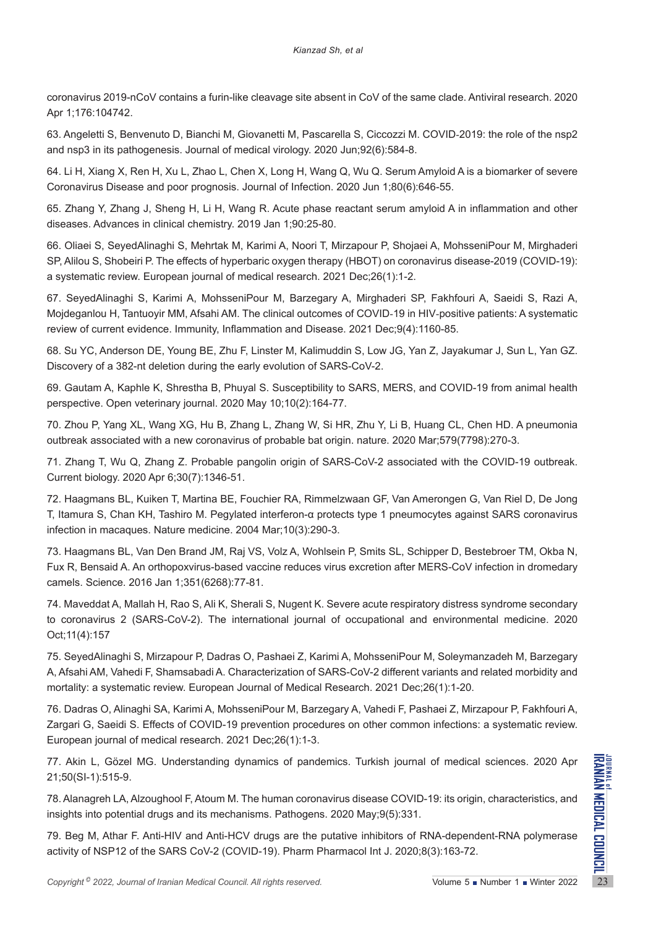coronavirus 2019-nCoV contains a furin-like cleavage site absent in CoV of the same clade. Antiviral research. 2020 Apr 1;176:104742.

63. Angeletti S, Benvenuto D, Bianchi M, Giovanetti M, Pascarella S, Ciccozzi M. COVID‐2019: the role of the nsp2 and nsp3 in its pathogenesis. Journal of medical virology. 2020 Jun;92(6):584-8.

64. Li H, Xiang X, Ren H, Xu L, Zhao L, Chen X, Long H, Wang Q, Wu Q. Serum Amyloid A is a biomarker of severe Coronavirus Disease and poor prognosis. Journal of Infection. 2020 Jun 1;80(6):646-55.

65. Zhang Y, Zhang J, Sheng H, Li H, Wang R. Acute phase reactant serum amyloid A in inflammation and other diseases. Advances in clinical chemistry. 2019 Jan 1;90:25-80.

66. Oliaei S, SeyedAlinaghi S, Mehrtak M, Karimi A, Noori T, Mirzapour P, Shojaei A, MohsseniPour M, Mirghaderi SP, Alilou S, Shobeiri P. The effects of hyperbaric oxygen therapy (HBOT) on coronavirus disease-2019 (COVID-19): a systematic review. European journal of medical research. 2021 Dec;26(1):1-2.

67. SeyedAlinaghi S, Karimi A, MohsseniPour M, Barzegary A, Mirghaderi SP, Fakhfouri A, Saeidi S, Razi A, Mojdeganlou H, Tantuoyir MM, Afsahi AM. The clinical outcomes of COVID‐19 in HIV‐positive patients: A systematic review of current evidence. Immunity, Inflammation and Disease. 2021 Dec;9(4):1160-85.

68. Su YC, Anderson DE, Young BE, Zhu F, Linster M, Kalimuddin S, Low JG, Yan Z, Jayakumar J, Sun L, Yan GZ. Discovery of a 382-nt deletion during the early evolution of SARS-CoV-2.

69. Gautam A, Kaphle K, Shrestha B, Phuyal S. Susceptibility to SARS, MERS, and COVID-19 from animal health perspective. Open veterinary journal. 2020 May 10;10(2):164-77.

70. Zhou P, Yang XL, Wang XG, Hu B, Zhang L, Zhang W, Si HR, Zhu Y, Li B, Huang CL, Chen HD. A pneumonia outbreak associated with a new coronavirus of probable bat origin. nature. 2020 Mar;579(7798):270-3.

71. Zhang T, Wu Q, Zhang Z. Probable pangolin origin of SARS-CoV-2 associated with the COVID-19 outbreak. Current biology. 2020 Apr 6;30(7):1346-51.

72. Haagmans BL, Kuiken T, Martina BE, Fouchier RA, Rimmelzwaan GF, Van Amerongen G, Van Riel D, De Jong T, Itamura S, Chan KH, Tashiro M. Pegylated interferon-α protects type 1 pneumocytes against SARS coronavirus infection in macaques. Nature medicine. 2004 Mar;10(3):290-3.

73. Haagmans BL, Van Den Brand JM, Raj VS, Volz A, Wohlsein P, Smits SL, Schipper D, Bestebroer TM, Okba N, Fux R, Bensaid A. An orthopoxvirus-based vaccine reduces virus excretion after MERS-CoV infection in dromedary camels. Science. 2016 Jan 1;351(6268):77-81.

74. Maveddat A, Mallah H, Rao S, Ali K, Sherali S, Nugent K. Severe acute respiratory distress syndrome secondary to coronavirus 2 (SARS-CoV-2). The international journal of occupational and environmental medicine. 2020 Oct;11(4):157

75. SeyedAlinaghi S, Mirzapour P, Dadras O, Pashaei Z, Karimi A, MohsseniPour M, Soleymanzadeh M, Barzegary A, Afsahi AM, Vahedi F, Shamsabadi A. Characterization of SARS-CoV-2 different variants and related morbidity and mortality: a systematic review. European Journal of Medical Research. 2021 Dec;26(1):1-20.

76. Dadras O, Alinaghi SA, Karimi A, MohsseniPour M, Barzegary A, Vahedi F, Pashaei Z, Mirzapour P, Fakhfouri A, Zargari G, Saeidi S. Effects of COVID-19 prevention procedures on other common infections: a systematic review. European journal of medical research. 2021 Dec;26(1):1-3.

77. Akin L, Gözel MG. Understanding dynamics of pandemics. Turkish journal of medical sciences. 2020 Apr 21;50(SI-1):515-9.

78. Alanagreh LA, Alzoughool F, Atoum M. The human coronavirus disease COVID-19: its origin, characteristics, and insights into potential drugs and its mechanisms. Pathogens. 2020 May;9(5):331.

77. Akin L, Gözel MG. Understanding dynamics of pandemics. Turkish journal of medical sciences. 2020 Apr<br>21;50(SI-1):515-9.<br>**T8. Alanagreh LA, Alzoughool F, Atoum M. The human coronavirus disease COVID-19: its origin, cha** 79. Beg M, Athar F. Anti-HIV and Anti-HCV drugs are the putative inhibitors of RNA-dependent-RNA polymerase activity of NSP12 of the SARS CoV-2 (COVID-19). Pharm Pharmacol Int J. 2020;8(3):163-72.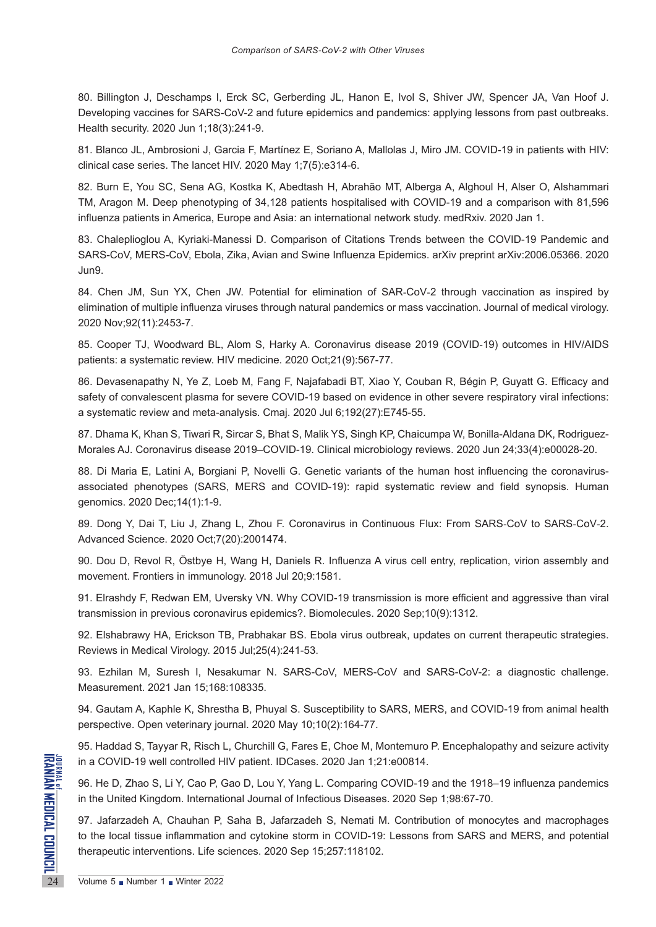80. Billington J, Deschamps I, Erck SC, Gerberding JL, Hanon E, Ivol S, Shiver JW, Spencer JA, Van Hoof J. Developing vaccines for SARS-CoV-2 and future epidemics and pandemics: applying lessons from past outbreaks. Health security. 2020 Jun 1;18(3):241-9.

81. Blanco JL, Ambrosioni J, Garcia F, Martínez E, Soriano A, Mallolas J, Miro JM. COVID-19 in patients with HIV: clinical case series. The lancet HIV. 2020 May 1;7(5):e314-6.

82. Burn E, You SC, Sena AG, Kostka K, Abedtash H, Abrahão MT, Alberga A, Alghoul H, Alser O, Alshammari TM, Aragon M. Deep phenotyping of 34,128 patients hospitalised with COVID-19 and a comparison with 81,596 influenza patients in America, Europe and Asia: an international network study. medRxiv. 2020 Jan 1.

83. Chaleplioglou A, Kyriaki-Manessi D. Comparison of Citations Trends between the COVID-19 Pandemic and SARS-CoV, MERS-CoV, Ebola, Zika, Avian and Swine Influenza Epidemics. arXiv preprint arXiv:2006.05366. 2020 Jun9.

84. Chen JM, Sun YX, Chen JW. Potential for elimination of SAR-CoV-2 through vaccination as inspired by elimination of multiple influenza viruses through natural pandemics or mass vaccination. Journal of medical virology. 2020 Nov;92(11):2453-7.

85. Cooper TJ, Woodward BL, Alom S, Harky A. Coronavirus disease 2019 (COVID‐19) outcomes in HIV/AIDS patients: a systematic review. HIV medicine. 2020 Oct;21(9):567-77.

86. Devasenapathy N, Ye Z, Loeb M, Fang F, Najafabadi BT, Xiao Y, Couban R, Bégin P, Guyatt G. Efficacy and safety of convalescent plasma for severe COVID-19 based on evidence in other severe respiratory viral infections: a systematic review and meta-analysis. Cmaj. 2020 Jul 6;192(27):E745-55.

87. Dhama K, Khan S, Tiwari R, Sircar S, Bhat S, Malik YS, Singh KP, Chaicumpa W, Bonilla-Aldana DK, Rodriguez-Morales AJ. Coronavirus disease 2019–COVID-19. Clinical microbiology reviews. 2020 Jun 24;33(4):e00028-20.

88. Di Maria E, Latini A, Borgiani P, Novelli G. Genetic variants of the human host influencing the coronavirusassociated phenotypes (SARS, MERS and COVID-19): rapid systematic review and field synopsis. Human genomics. 2020 Dec;14(1):1-9.

89. Dong Y, Dai T, Liu J, Zhang L, Zhou F. Coronavirus in Continuous Flux: From SARS-CoV to SARS-CoV-2. Advanced Science. 2020 Oct;7(20):2001474.

90. Dou D, Revol R, Östbye H, Wang H, Daniels R. Influenza A virus cell entry, replication, virion assembly and movement. Frontiers in immunology. 2018 Jul 20;9:1581.

91. Elrashdy F, Redwan EM, Uversky VN. Why COVID-19 transmission is more efficient and aggressive than viral transmission in previous coronavirus epidemics?. Biomolecules. 2020 Sep;10(9):1312.

92. Elshabrawy HA, Erickson TB, Prabhakar BS. Ebola virus outbreak, updates on current therapeutic strategies. Reviews in Medical Virology. 2015 Jul;25(4):241-53.

93. Ezhilan M, Suresh I, Nesakumar N. SARS-CoV, MERS-CoV and SARS-CoV-2: a diagnostic challenge. Measurement. 2021 Jan 15;168:108335.

94. Gautam A, Kaphle K, Shrestha B, Phuyal S. Susceptibility to SARS, MERS, and COVID-19 from animal health perspective. Open veterinary journal. 2020 May 10;10(2):164-77.

95. Haddad S, Tayyar R, Risch L, Churchill G, Fares E, Choe M, Montemuro P. Encephalopathy and seizure activity in a COVID-19 well controlled HIV patient. IDCases. 2020 Jan 1;21:e00814.

96. He D, Zhao S, Li Y, Cao P, Gao D, Lou Y, Yang L. Comparing COVID-19 and the 1918–19 influenza pandemics in the United Kingdom. International Journal of Infectious Diseases. 2020 Sep 1;98:67-70.

INDEPTINE IN A COVID-19 well controlled H<br>
96. He D, Zhao S, Li Y, Cao P, C<br>
in the United Kingdom. Internation<br>
97. Jafarzadeh A, Chauhan P,<br>
to the local tissue inflammation<br>
therapeutic interventions. Life se 97. Jafarzadeh A, Chauhan P, Saha B, Jafarzadeh S, Nemati M. Contribution of monocytes and macrophages to the local tissue inflammation and cytokine storm in COVID-19: Lessons from SARS and MERS, and potential therapeutic interventions. Life sciences. 2020 Sep 15;257:118102.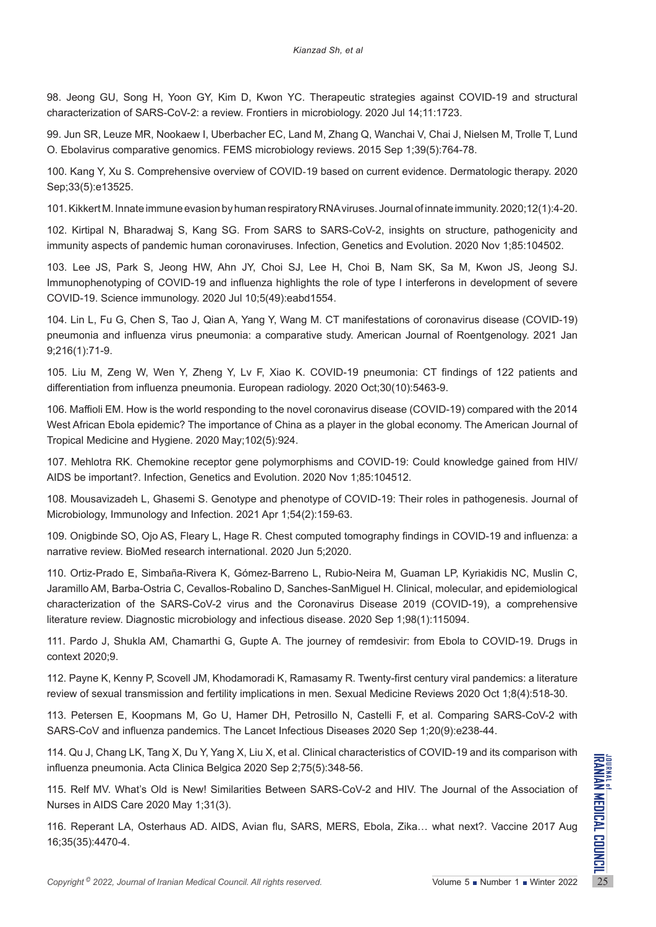98. Jeong GU, Song H, Yoon GY, Kim D, Kwon YC. Therapeutic strategies against COVID-19 and structural characterization of SARS-CoV-2: a review. Frontiers in microbiology. 2020 Jul 14;11:1723.

99. Jun SR, Leuze MR, Nookaew I, Uberbacher EC, Land M, Zhang Q, Wanchai V, Chai J, Nielsen M, Trolle T, Lund O. Ebolavirus comparative genomics. FEMS microbiology reviews. 2015 Sep 1;39(5):764-78.

100. Kang Y, Xu S. Comprehensive overview of COVID‐19 based on current evidence. Dermatologic therapy. 2020 Sep;33(5):e13525.

101. Kikkert M. Innate immune evasion by human respiratory RNA viruses. Journal of innate immunity. 2020;12(1):4-20.

102. Kirtipal N, Bharadwaj S, Kang SG. From SARS to SARS-CoV-2, insights on structure, pathogenicity and immunity aspects of pandemic human coronaviruses. Infection, Genetics and Evolution. 2020 Nov 1;85:104502.

103. Lee JS, Park S, Jeong HW, Ahn JY, Choi SJ, Lee H, Choi B, Nam SK, Sa M, Kwon JS, Jeong SJ. Immunophenotyping of COVID-19 and influenza highlights the role of type I interferons in development of severe COVID-19. Science immunology. 2020 Jul 10;5(49):eabd1554.

104. Lin L, Fu G, Chen S, Tao J, Qian A, Yang Y, Wang M. CT manifestations of coronavirus disease (COVID-19) pneumonia and influenza virus pneumonia: a comparative study. American Journal of Roentgenology. 2021 Jan 9;216(1):71-9.

105. Liu M, Zeng W, Wen Y, Zheng Y, Lv F, Xiao K. COVID-19 pneumonia: CT findings of 122 patients and differentiation from influenza pneumonia. European radiology. 2020 Oct;30(10):5463-9.

106. Maffioli EM. How is the world responding to the novel coronavirus disease (COVID-19) compared with the 2014 West African Ebola epidemic? The importance of China as a player in the global economy. The American Journal of Tropical Medicine and Hygiene. 2020 May;102(5):924.

107. Mehlotra RK. Chemokine receptor gene polymorphisms and COVID-19: Could knowledge gained from HIV/ AIDS be important?. Infection, Genetics and Evolution. 2020 Nov 1;85:104512.

108. Mousavizadeh L, Ghasemi S. Genotype and phenotype of COVID-19: Their roles in pathogenesis. Journal of Microbiology, Immunology and Infection. 2021 Apr 1;54(2):159-63.

109. Onigbinde SO, Ojo AS, Fleary L, Hage R. Chest computed tomography findings in COVID-19 and influenza: a narrative review. BioMed research international. 2020 Jun 5;2020.

110. Ortiz-Prado E, Simbaña-Rivera K, Gómez-Barreno L, Rubio-Neira M, Guaman LP, Kyriakidis NC, Muslin C, Jaramillo AM, Barba-Ostria C, Cevallos-Robalino D, Sanches-SanMiguel H. Clinical, molecular, and epidemiological characterization of the SARS-CoV-2 virus and the Coronavirus Disease 2019 (COVID-19), a comprehensive literature review. Diagnostic microbiology and infectious disease. 2020 Sep 1;98(1):115094.

111. Pardo J, Shukla AM, Chamarthi G, Gupte A. The journey of remdesivir: from Ebola to COVID-19. Drugs in context 2020;9.

112. Payne K, Kenny P, Scovell JM, Khodamoradi K, Ramasamy R. Twenty-first century viral pandemics: a literature review of sexual transmission and fertility implications in men. Sexual Medicine Reviews 2020 Oct 1;8(4):518-30.

113. Petersen E, Koopmans M, Go U, Hamer DH, Petrosillo N, Castelli F, et al. Comparing SARS-CoV-2 with SARS-CoV and influenza pandemics. The Lancet Infectious Diseases 2020 Sep 1;20(9):e238-44.

114. Qu J, Chang LK, Tang X, Du Y, Yang X, Liu X, et al. Clinical characteristics of COVID-19 and its comparison with influenza pneumonia. Acta Clinica Belgica 2020 Sep 2;75(5):348-56.

Copyright® 2022, Journal of Iranian Medical Council. All rights reserved.<br>
Copyright® 2022, Journal of Iranian Medical Council. All rights reserved.<br>
The Journal of the Association of Nurses in AIDS Care 2020 May 1;31(3). 115. Relf MV. What's Old is New! Similarities Between SARS-CoV-2 and HIV. The Journal of the Association of Nurses in AIDS Care 2020 May 1;31(3).

116. Reperant LA, Osterhaus AD. AIDS, Avian flu, SARS, MERS, Ebola, Zika… what next?. Vaccine 2017 Aug 16;35(35):4470-4.